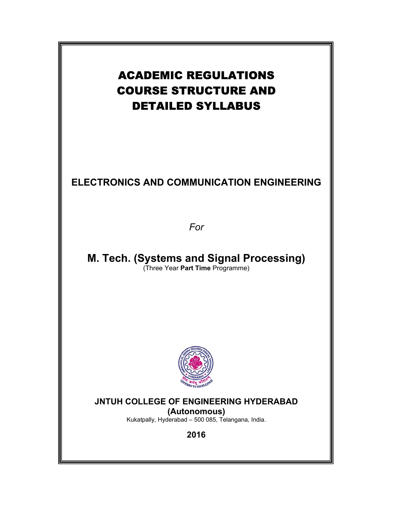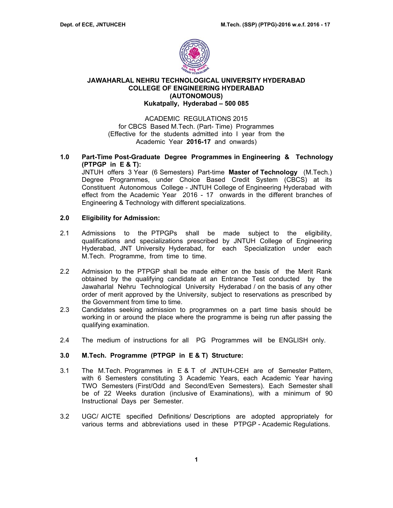

## **JAWAHARLAL NEHRU TECHNOLOGICAL UNIVERSITY HYDERABAD COLLEGE OF ENGINEERING HYDERABAD (AUTONOMOUS) Kukatpally, Hyderabad – 500 085**

ACADEMIC REGULATIONS 2015 for CBCS Based M.Tech. (Part- Time) Programmes (Effective for the students admitted into I year from the Academic Year **2016-17** and onwards)

## **1.0 Part-Time Post-Graduate Degree Programmes in Engineering & Technology (PTPGP in E & T):**

JNTUH offers 3 Year (6 Semesters) Part-time **Master of Technology** (M.Tech.) Degree Programmes, under Choice Based Credit System (CBCS) at its Constituent Autonomous College - JNTUH College of Engineering Hyderabad with effect from the Academic Year 2016 - 17 onwards in the different branches of Engineering & Technology with different specializations.

### **2.0 Eligibility for Admission:**

- 2.1 Admissions to the PTPGPs shall be made subject to the eligibility, qualifications and specializations prescribed by JNTUH College of Engineering Hyderabad, JNT University Hyderabad, for each Specialization under each M.Tech. Programme, from time to time.
- 2.2 Admission to the PTPGP shall be made either on the basis of the Merit Rank obtained by the qualifying candidate at an Entrance Test conducted by the Jawaharlal Nehru Technological University Hyderabad / on the basis of any other order of merit approved by the University, subject to reservations as prescribed by the Government from time to time.
- 2.3 Candidates seeking admission to programmes on a part time basis should be working in or around the place where the programme is being run after passing the qualifying examination.
- 2.4 The medium of instructions for all PG Programmes will be ENGLISH only.

### **3.0 M.Tech. Programme (PTPGP in E & T) Structure:**

- 3.1 The M.Tech. Programmes in E & T of JNTUH-CEH are of Semester Pattern, with 6 Semesters constituting 3 Academic Years, each Academic Year having TWO Semesters (First/Odd and Second/Even Semesters). Each Semester shall be of 22 Weeks duration (inclusive of Examinations), with a minimum of 90 Instructional Days per Semester.
- 3.2 UGC/ AICTE specified Definitions/ Descriptions are adopted appropriately for various terms and abbreviations used in these PTPGP - Academic Regulations.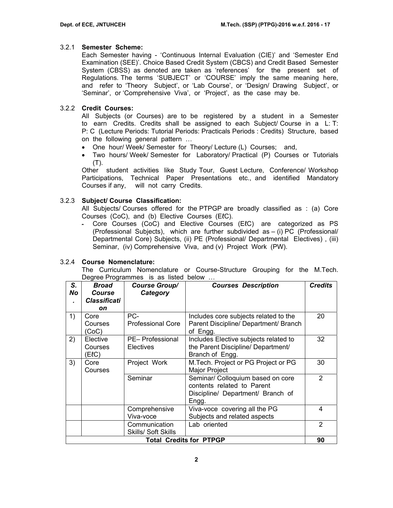## 3.2.1 **Semester Scheme:**

Each Semester having - 'Continuous Internal Evaluation (CIE)' and 'Semester End Examination (SEE)'. Choice Based Credit System (CBCS) and Credit Based Semester System (CBSS) as denoted are taken as 'references' for the present set of Regulations. The terms 'SUBJECT' or 'COURSE' imply the same meaning here, and refer to 'Theory Subject', or 'Lab Course', or 'Design/ Drawing Subject', or 'Seminar', or 'Comprehensive Viva', or 'Project', as the case may be.

## 3.2.2 **Credit Courses:**

All Subjects (or Courses) are to be registered by a student in a Semester to earn Credits. Credits shall be assigned to each Subject/ Course in a L: T: P: C (Lecture Periods: Tutorial Periods: Practicals Periods : Credits) Structure, based on the following general pattern …

- One hour/ Week/ Semester for Theory/ Lecture (L) Courses; and,
- Two hours/ Week/ Semester for Laboratory/ Practical (P) Courses or Tutorials (T).

Other student activities like Study Tour, Guest Lecture, Conference/ Workshop Participations, Technical Paper Presentations etc., and identified Mandatory Courses if any, will not carry Credits.

## 3.2.3 **Subject/ Course Classification:**

All Subjects/ Courses offered for the PTPGP are broadly classified as : (a) Core Courses (CoC), and (b) Elective Courses (EℓC).

‐ Core Courses (CoC) and Elective Courses (EℓC) are categorized as PS (Professional Subjects), which are further subdivided as – (i) PC (Professional/ Departmental Core) Subjects, (ii) PE (Professional/ Departmental Electives) , (iii) Seminar, (iv) Comprehensive Viva, and (v) Project Work (PW).

### 3.2.4 **Course Nomenclature:**

The Curriculum Nomenclature or Course-Structure Grouping for the M.Tech. Degree Programmes is as listed below …

| S.<br>No | <b>Broad</b><br><b>Course</b><br><b>Classificati</b><br>on  | <b>Course Group/</b><br>Category | <b>Courses Description</b>                                                                                    | <b>Credits</b> |  |
|----------|-------------------------------------------------------------|----------------------------------|---------------------------------------------------------------------------------------------------------------|----------------|--|
| 1)       | Core<br>Courses<br>(CoC)                                    | PC-<br><b>Professional Core</b>  | Includes core subjects related to the<br>Parent Discipline/ Department/ Branch<br>of Engg.                    | 20             |  |
| 2)       | Elective<br>Courses<br>(ElC)                                | PE- Professional<br>Electives    | Includes Elective subjects related to<br>the Parent Discipline/ Department/<br>Branch of Engg.                | 32             |  |
| 3)       | Core<br>Courses                                             | Project Work                     | M. Tech. Project or PG Project or PG<br><b>Major Project</b>                                                  | 30             |  |
|          |                                                             | Seminar                          | Seminar/ Colloquium based on core<br>contents related to Parent<br>Discipline/ Department/ Branch of<br>Engg. | $\overline{2}$ |  |
|          |                                                             | Comprehensive<br>Viva-voce       | Viva-voce covering all the PG<br>Subjects and related aspects                                                 | 4              |  |
|          | Lab oriented<br>Communication<br><b>Skills/ Soft Skills</b> |                                  |                                                                                                               |                |  |
|          |                                                             |                                  | <b>Total Credits for PTPGP</b>                                                                                | 90             |  |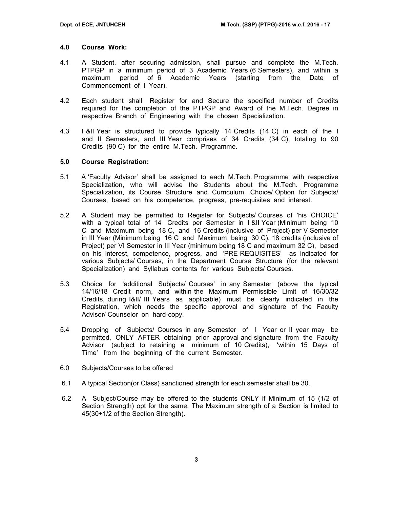#### **4.0 Course Work:**

- 4.1 A Student, after securing admission, shall pursue and complete the M.Tech. PTPGP in a minimum period of 3 Academic Years (6 Semesters), and within a maximum period of 6 Academic Years (starting from the Date of Commencement of I Year).
- 4.2 Each student shall Register for and Secure the specified number of Credits required for the completion of the PTPGP and Award of the M.Tech. Degree in respective Branch of Engineering with the chosen Specialization.
- 4.3 I &II Year is structured to provide typically 14 Credits (14 C) in each of the I and II Semesters, and III Year comprises of 34 Credits (34 C), totaling to 90 Credits (90 C) for the entire M.Tech. Programme.

## **5.0 Course Registration:**

- 5.1 A 'Faculty Advisor' shall be assigned to each M.Tech. Programme with respective Specialization, who will advise the Students about the M.Tech. Programme Specialization, its Course Structure and Curriculum, Choice/ Option for Subjects/ Courses, based on his competence, progress, pre-requisites and interest.
- 5.2 A Student may be permitted to Register for Subjects/ Courses of 'his CHOICE' with a typical total of 14 Credits per Semester in I &II Year (Minimum being 10 C and Maximum being 18 C, and 16 Credits (inclusive of Project) per V Semester in III Year (Minimum being 16 C and Maximum being 30 C), 18 credits (inclusive of Project) per VI Semester in III Year (minimum being 18 C and maximum 32 C), based on his interest, competence, progress, and 'PRE-REQUISITES' as indicated for various Subjects/ Courses, in the Department Course Structure (for the relevant Specialization) and Syllabus contents for various Subjects/ Courses.
- 5.3 Choice for 'additional Subjects/ Courses' in any Semester (above the typical 14/16/18 Credit norm, and within the Maximum Permissible Limit of 16/30/32 Credits, during I&II/ III Years as applicable) must be clearly indicated in the Registration, which needs the specific approval and signature of the Faculty Advisor/ Counselor on hard-copy.
- 5.4 Dropping of Subjects/ Courses in any Semester of I Year or II year may be permitted, ONLY AFTER obtaining prior approval and signature from the Faculty Advisor (subject to retaining a minimum of 10 Credits), 'within 15 Days of Time' from the beginning of the current Semester.
- 6.0 Subjects/Courses to be offered
- 6.1 A typical Section(or Class) sanctioned strength for each semester shall be 30.
- 6.2 A Subject/Course may be offered to the students ONLY if Minimum of 15 (1/2 of Section Strength) opt for the same. The Maximum strength of a Section is limited to 45(30+1/2 of the Section Strength).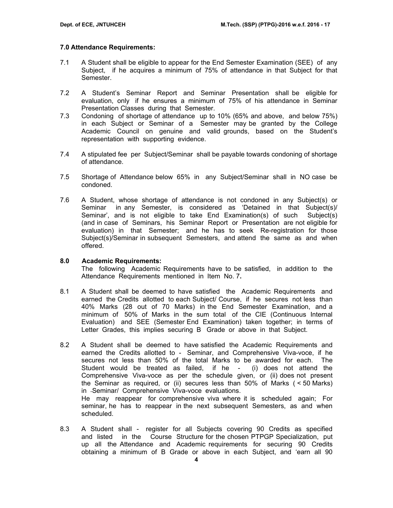## **7.0 Attendance Requirements:**

- 7.1 A Student shall be eligible to appear for the End Semester Examination (SEE) of any Subject, if he acquires a minimum of 75% of attendance in that Subject for that Semester.
- 7.2 A Student's Seminar Report and Seminar Presentation shall be eligible for evaluation, only if he ensures a minimum of 75% of his attendance in Seminar Presentation Classes during that Semester.
- 7.3 Condoning of shortage of attendance up to 10% (65% and above, and below 75%) in each Subject or Seminar of a Semester may be granted by the College Academic Council on genuine and valid grounds, based on the Student's representation with supporting evidence.
- 7.4 A stipulated fee per Subject/Seminar shall be payable towards condoning of shortage of attendance.
- 7.5 Shortage of Attendance below 65% in any Subject/Seminar shall in NO case be condoned.
- 7.6 A Student, whose shortage of attendance is not condoned in any Subject(s) or Seminar in any Semester, is considered as 'Detained in that Subject(s)/ Seminar', and is not eligible to take End Examination(s) of such Subject(s) (and in case of Seminars, his Seminar Report or Presentation are not eligible for evaluation) in that Semester; and he has to seek Re-registration for those Subject(s)/Seminar in subsequent Semesters, and attend the same as and when offered.

### **8.0 Academic Requirements:**

The following Academic Requirements have to be satisfied, in addition to the Attendance Requirements mentioned in Item No. 7**.** 

- 8.1 A Student shall be deemed to have satisfied the Academic Requirements and earned the Credits allotted to each Subject/ Course, if he secures not less than 40% Marks (28 out of 70 Marks) in the End Semester Examination, and a minimum of 50% of Marks in the sum total of the CIE (Continuous Internal Evaluation) and SEE (Semester End Examination) taken together; in terms of Letter Grades, this implies securing B Grade or above in that Subject.
- 8.2A Student shall be deemed to have satisfied the Academic Requirements and earned the Credits allotted to - Seminar, and Comprehensive Viva-voce, if he secures not less than 50% of the total Marks to be awarded for each. The Student would be treated as failed, if he - (i) does not attend the Comprehensive Viva-voce as per the schedule given, or (ii) does not present the Seminar as required, or (ii) secures less than 50% of Marks ( < 50 Marks) in -Seminar/ Comprehensive Viva-voce evaluations. He may reappear for comprehensive viva where it is scheduled again; For seminar, he has to reappear in the next subsequent Semesters, as and when scheduled.
- 8.3 A Student shall register for all Subjects covering 90 Credits as specified and listed in the Course Structure for the chosen PTPGP Specialization, put up all the Attendance and Academic requirements for securing 90 Credits obtaining a minimum of B Grade or above in each Subject, and 'earn all 90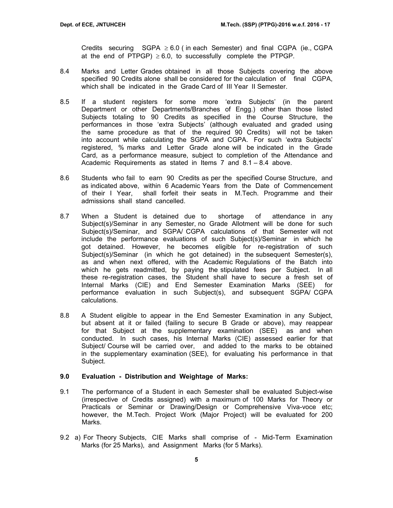Credits securing  $SGPA \geq 6.0$  (in each Semester) and final CGPA (ie., CGPA at the end of PTPGP)  $\geq 6.0$ , to successfully complete the PTPGP.

- 8.4 Marks and Letter Grades obtained in all those Subjects covering the above specified 90 Credits alone shall be considered for the calculation of final CGPA, which shall be indicated in the Grade Card of III Year II Semester.
- 8.5 If a student registers for some more 'extra Subjects' (in the parent Department or other Departments/Branches of Engg.) other than those listed Subjects totaling to 90 Credits as specified in the Course Structure, the performances in those 'extra Subjects' (although evaluated and graded using the same procedure as that of the required 90 Credits) will not be taken into account while calculating the SGPA and CGPA. For such 'extra Subjects' registered, % marks and Letter Grade alone will be indicated in the Grade Card, as a performance measure, subject to completion of the Attendance and Academic Requirements as stated in Items 7 and 8.1 – 8.4 above.
- 8.6 Students who fail to earn 90 Credits as per the specified Course Structure, and as indicated above, within 6 Academic Years from the Date of Commencement of their I Year, shall forfeit their seats in M.Tech. Programme and their admissions shall stand cancelled.
- 8.7 When a Student is detained due to shortage of attendance in any Subject(s)/Seminar in any Semester, no Grade Allotment will be done for such Subject(s)/Seminar, and SGPA/ CGPA calculations of that Semester will not include the performance evaluations of such Subject(s)/Seminar in which he got detained. However, he becomes eligible for re-registration of such Subject(s)/Seminar (in which he got detained) in the subsequent Semester(s), as and when next offered, with the Academic Regulations of the Batch into which he gets readmitted, by paying the stipulated fees per Subject. In all these re-registration cases, the Student shall have to secure a fresh set of Internal Marks (CIE) and End Semester Examination Marks (SEE) for performance evaluation in such Subject(s), and subsequent SGPA/ CGPA calculations.
- 8.8 A Student eligible to appear in the End Semester Examination in any Subject, but absent at it or failed (failing to secure B Grade or above), may reappear for that Subject at the supplementary examination (SEE) as and when conducted. In such cases, his Internal Marks (CIE) assessed earlier for that Subject/ Course will be carried over, and added to the marks to be obtained in the supplementary examination (SEE), for evaluating his performance in that Subject.

#### **9.0 Evaluation - Distribution and Weightage of Marks:**

- 9.1 The performance of a Student in each Semester shall be evaluated Subject-wise (irrespective of Credits assigned) with a maximum of 100 Marks for Theory or Practicals or Seminar or Drawing/Design or Comprehensive Viva-voce etc; however, the M.Tech. Project Work (Major Project) will be evaluated for 200 Marks.
- 9.2 a) For Theory Subjects, CIE Marks shall comprise of Mid-Term Examination Marks (for 25 Marks), and Assignment Marks (for 5 Marks).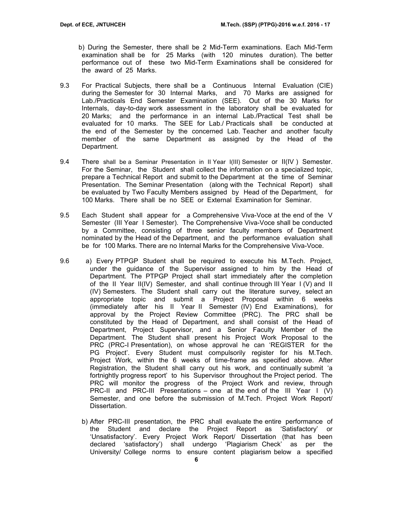b) During the Semester, there shall be 2 Mid-Term examinations. Each Mid-Term examination shall be for 25 Marks (with 120 minutes duration). The better performance out of these two Mid-Term Examinations shall be considered for the award of 25 Marks.

- 9.3 For Practical Subjects, there shall be a Continuous Internal Evaluation (CIE) during the Semester for 30 Internal Marks, and 70 Marks are assigned for Lab./Practicals End Semester Examination (SEE). Out of the 30 Marks for Internals, day-to-day work assessment in the laboratory shall be evaluated for 20 Marks; and the performance in an internal Lab./Practical Test shall be evaluated for 10 marks. The SEE for Lab./ Practicals shall be conducted at the end of the Semester by the concerned Lab. Teacher and another faculty member of the same Department as assigned by the Head of the Department.
- 9.4 There shall be a Seminar Presentation in II Year I(III) Semester or II(IV ) Semester. For the Seminar, the Student shall collect the information on a specialized topic, prepare a Technical Report and submit to the Department at the time of Seminar Presentation. The Seminar Presentation (along with the Technical Report) shall be evaluated by Two Faculty Members assigned by Head of the Department, for 100 Marks. There shall be no SEE or External Examination for Seminar.
- 9.5 Each Student shall appear for a Comprehensive Viva-Voce at the end of the V Semester (III Year I Semester). The Comprehensive Viva-Voce shall be conducted by a Committee, consisting of three senior faculty members of Department nominated by the Head of the Department, and the performance evaluation shall be for 100 Marks. There are no Internal Marks for the Comprehensive Viva-Voce.
- 9.6 a) Every PTPGP Student shall be required to execute his M.Tech. Project, under the guidance of the Supervisor assigned to him by the Head of Department. The PTPGP Project shall start immediately after the completion of the II Year II(IV) Semester, and shall continue through III Year I (V) and II (IV) Semesters. The Student shall carry out the literature survey, select an appropriate topic and submit a Project Proposal within 6 weeks (immediately after his II Year II Semester (IV) End Examinations), for approval by the Project Review Committee (PRC). The PRC shall be constituted by the Head of Department, and shall consist of the Head of Department, Project Supervisor, and a Senior Faculty Member of the Department. The Student shall present his Project Work Proposal to the PRC (PRC-I Presentation), on whose approval he can 'REGISTER for the PG Project'. Every Student must compulsorily register for his M.Tech. Project Work, within the 6 weeks of time-frame as specified above. After Registration, the Student shall carry out his work, and continually submit 'a fortnightly progress report' to his Supervisor throughout the Project period. The PRC will monitor the progress of the Project Work and review, through PRC-II and PRC-III Presentations – one at the end of the III Year I  $(V)$ Semester, and one before the submission of M.Tech. Project Work Report/ Dissertation.
	- b) After PRC-III presentation, the PRC shall evaluate the entire performance of the Student and declare the Project Report as 'Satisfactory' or 'Unsatisfactory'. Every Project Work Report/ Dissertation (that has been declared 'satisfactory') shall undergo 'Plagiarism Check' as per the University/ College norms to ensure content plagiarism below a specified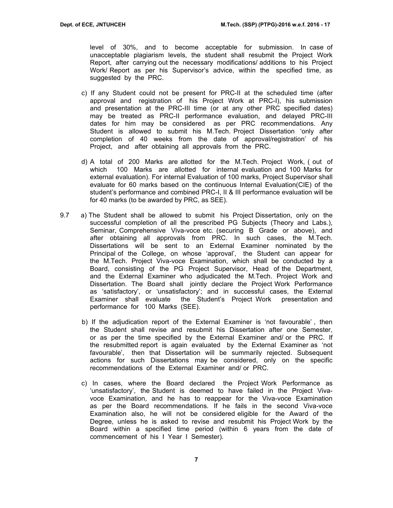level of 30%, and to become acceptable for submission. In case of unacceptable plagiarism levels, the student shall resubmit the Project Work Report, after carrying out the necessary modifications/ additions to his Project Work/ Report as per his Supervisor's advice, within the specified time, as suggested by the PRC.

- c) If any Student could not be present for PRC-II at the scheduled time (after approval and registration of his Project Work at PRC-I), his submission and presentation at the PRC-III time (or at any other PRC specified dates) may be treated as PRC-II performance evaluation, and delayed PRC-III dates for him may be considered as per PRC recommendations. Any Student is allowed to submit his M.Tech. Project Dissertation 'only after completion of 40 weeks from the date of approval/registration' of his Project, and after obtaining all approvals from the PRC.
- d) A total of 200 Marks are allotted for the M.Tech. Project Work, ( out of which 100 Marks are allotted for internal evaluation and 100 Marks for external evaluation). For internal Evaluation of 100 marks, Project Supervisor shall evaluate for 60 marks based on the continuous Internal Evaluation(CIE) of the student's performance and combined PRC-I, II & III performance evaluation will be for 40 marks (to be awarded by PRC, as SEE).
- 9.7 a) The Student shall be allowed to submit his Project Dissertation, only on the successful completion of all the prescribed PG Subjects (Theory and Labs.), Seminar, Comprehensive Viva-voce etc. (securing B Grade or above), and after obtaining all approvals from PRC. In such cases, the M.Tech. Dissertations will be sent to an External Examiner nominated by the Principal of the College, on whose 'approval', the Student can appear for the M.Tech. Project Viva-voce Examination, which shall be conducted by a Board, consisting of the PG Project Supervisor, Head of the Department, and the External Examiner who adjudicated the M.Tech. Project Work and Dissertation. The Board shall jointly declare the Project Work Performance as 'satisfactory', or 'unsatisfactory'; and in successful cases, the External Examiner shall evaluate the Student's Project Work presentation and performance for 100 Marks (SEE).
	- b) If the adjudication report of the External Examiner is 'not favourable' , then the Student shall revise and resubmit his Dissertation after one Semester, or as per the time specified by the External Examiner and/ or the PRC. If the resubmitted report is again evaluated by the External Examiner as 'not favourable', then that Dissertation will be summarily rejected. Subsequent actions for such Dissertations may be considered, only on the specific recommendations of the External Examiner and/ or PRC.
	- c) In cases, where the Board declared the Project Work Performance as 'unsatisfactory', the Student is deemed to have failed in the Project Vivavoce Examination, and he has to reappear for the Viva-voce Examination as per the Board recommendations. If he fails in the second Viva-voce Examination also, he will not be considered eligible for the Award of the Degree, unless he is asked to revise and resubmit his Project Work by the Board within a specified time period (within 6 years from the date of commencement of his I Year I Semester).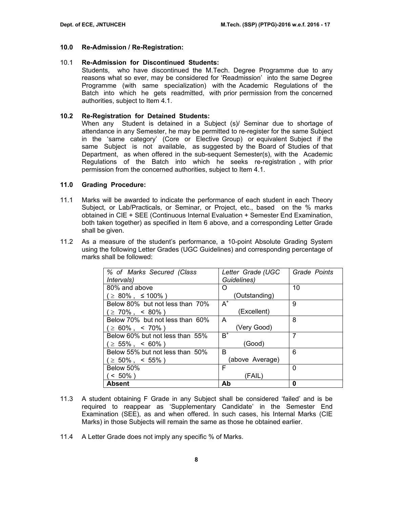#### **10.0 Re-Admission / Re-Registration:**

#### 10.1 **Re-Admission for Discontinued Students:**

Students, who have discontinued the M.Tech. Degree Programme due to any reasons what so ever, may be considered for 'Readmission' into the same Degree Programme (with same specialization) with the Academic Regulations of the Batch into which he gets readmitted, with prior permission from the concerned authorities, subject to Item 4.1.

### **10.2 Re-Registration for Detained Students:**

When any Student is detained in a Subject (s)/ Seminar due to shortage of attendance in any Semester, he may be permitted to re-register for the same Subject in the 'same category' (Core or Elective Group) or equivalent Subject if the same Subject is not available, as suggested by the Board of Studies of that Department, as when offered in the sub-sequent Semester(s), with the Academic Regulations of the Batch into which he seeks re-registration , with prior permission from the concerned authorities, subject to Item 4.1.

#### **11.0 Grading Procedure:**

- 11.1 Marks will be awarded to indicate the performance of each student in each Theory Subject, or Lab/Practicals, or Seminar, or Project, etc., based on the % marks obtained in CIE + SEE (Continuous Internal Evaluation + Semester End Examination, both taken together) as specified in Item 6 above, and a corresponding Letter Grade shall be given.
- 11.2 As a measure of the student's performance, a 10-point Absolute Grading System using the following Letter Grades (UGC Guidelines) and corresponding percentage of marks shall be followed:

| % of Marks Secured (Class       | Letter Grade (UGC | Grade Points |
|---------------------------------|-------------------|--------------|
|                                 |                   |              |
| <i>Intervals</i> )              | Guidelines)       |              |
| 80% and above                   | O                 | 10           |
| ( ≥ 80% , ≤100% )               | (Outstanding)     |              |
| Below 80% but not less than 70% | $A^+$             | 9            |
| (≥ 70%,< 80%)                   | (Excellent)       |              |
| Below 70% but not less than 60% | A                 | 8            |
| $( \geq 60\%$ , < 70% )         | (Very Good)       |              |
| Below 60% but not less than 55% | $\mathsf{B}^*$    | 7            |
| $( \geq 55\% , \leq 60\%)$      | (Good)            |              |
| Below 55% but not less than 50% | в                 | 6            |
| $( \geq 50\%$ , < 55% )         | (above Average)   |              |
| Below 50%                       | F                 | 0            |
| $< 50\%$ )                      | (FAIL)            |              |
| <b>Absent</b>                   | Ab                | 0            |

- 11.3 A student obtaining F Grade in any Subject shall be considered 'failed' and is be required to reappear as 'Supplementary Candidate' in the Semester End Examination (SEE), as and when offered. In such cases, his Internal Marks (CIE Marks) in those Subjects will remain the same as those he obtained earlier.
- 11.4 A Letter Grade does not imply any specific % of Marks.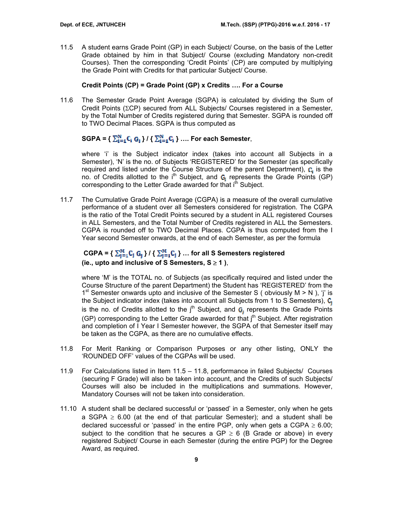11.5 A student earns Grade Point (GP) in each Subject/ Course, on the basis of the Letter Grade obtained by him in that Subject/ Course (excluding Mandatory non-credit Courses). Then the corresponding 'Credit Points' (CP) are computed by multiplying the Grade Point with Credits for that particular Subject/ Course.

## **Credit Points (CP) = Grade Point (GP) x Credits …. For a Course**

11.6 The Semester Grade Point Average (SGPA) is calculated by dividing the Sum of Credit Points (ΣCP) secured from ALL Subjects/ Courses registered in a Semester, by the Total Number of Credits registered during that Semester. SGPA is rounded off to TWO Decimal Places. SGPA is thus computed as

# $SGPA = \left\{ \sum_{i=4}^{N} C_i G_i \right\} / \left\{ \sum_{i=4}^{N} C_i \right\} \dots$  For each Semester,

where 'i' is the Subject indicator index (takes into account all Subjects in a Semester), 'N' is the no. of Subjects 'REGISTERED' for the Semester (as specifically required and listed under the Course Structure of the parent Department),  $\mathbf{C}_i$  is the no. of Credits allotted to the  $i<sup>th</sup>$  Subject, and  $G_i$  represents the Grade Points (GP) corresponding to the Letter Grade awarded for that i<sup>th</sup> Subject.

11.7 The Cumulative Grade Point Average (CGPA) is a measure of the overall cumulative performance of a student over all Semesters considered for registration. The CGPA is the ratio of the Total Credit Points secured by a student in ALL registered Courses in ALL Semesters, and the Total Number of Credits registered in ALL the Semesters. CGPA is rounded off to TWO Decimal Places. CGPA is thus computed from the I Year second Semester onwards, at the end of each Semester, as per the formula

# $CGPA = \{ \sum_{i=1}^{M} C_i \ G_i \} / \{ \sum_{i=1}^{M} C_i \} ...$  for all S Semesters registered **(ie., upto and inclusive of S Semesters, S** ≥ **1 )**,

where 'M' is the TOTAL no. of Subjects (as specifically required and listed under the Course Structure of the parent Department) the Student has 'REGISTERED' from the 1<sup>st</sup> Semester onwards upto and inclusive of the Semester S ( obviously  $M > N$  ), 'j' is the Subject indicator index (takes into account all Subjects from 1 to S Semesters),  $C_i$ is the no. of Credits allotted to the  $j<sup>th</sup>$  Subject, and  $G_i$  represents the Grade Points (GP) corresponding to the Letter Grade awarded for that j<sup>th</sup> Subject. After registration and completion of I Year I Semester however, the SGPA of that Semester itself may be taken as the CGPA, as there are no cumulative effects.

- 11.8 For Merit Ranking or Comparison Purposes or any other listing, ONLY the 'ROUNDED OFF' values of the CGPAs will be used.
- 11.9 For Calculations listed in Item 11.5 11.8, performance in failed Subjects/ Courses (securing F Grade) will also be taken into account, and the Credits of such Subjects/ Courses will also be included in the multiplications and summations. However, Mandatory Courses will not be taken into consideration.
- 11.10 A student shall be declared successful or 'passed' in a Semester, only when he gets a SGPA  $\geq$  6.00 (at the end of that particular Semester); and a student shall be declared successful or 'passed' in the entire PGP, only when gets a CGPA  $\geq 6.00$ ; subject to the condition that he secures a GP  $\geq$  6 (B Grade or above) in every registered Subject/ Course in each Semester (during the entire PGP) for the Degree Award, as required.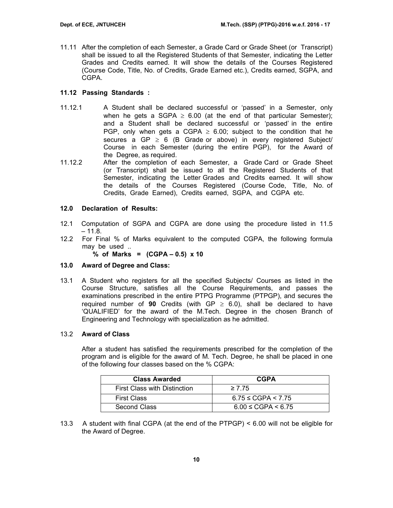11.11 After the completion of each Semester, a Grade Card or Grade Sheet (or Transcript) shall be issued to all the Registered Students of that Semester, indicating the Letter Grades and Credits earned. It will show the details of the Courses Registered (Course Code, Title, No. of Credits, Grade Earned etc.), Credits earned, SGPA, and CGPA.

## **11.12 Passing Standards :**

- 11.12.1 A Student shall be declared successful or 'passed' in a Semester, only when he gets a SGPA  $\geq$  6.00 (at the end of that particular Semester); and a Student shall be declared successful or 'passed' in the entire PGP, only when gets a CGPA  $\geq$  6.00; subject to the condition that he secures a GP  $\geq$  6 (B Grade or above) in every registered Subject/ Course in each Semester (during the entire PGP), for the Award of the Degree, as required.
- 11.12.2 After the completion of each Semester, a Grade Card or Grade Sheet (or Transcript) shall be issued to all the Registered Students of that Semester, indicating the Letter Grades and Credits earned. It will show the details of the Courses Registered (Course Code, Title, No. of Credits, Grade Earned), Credits earned, SGPA, and CGPA etc.

## **12.0 Declaration of Results:**

- 12.1 Computation of SGPA and CGPA are done using the procedure listed in 11.5  $-11.8.$
- 12.2 For Final % of Marks equivalent to the computed CGPA, the following formula may be used ..

**% of Marks = (CGPA – 0.5) x 10** 

## **13.0 Award of Degree and Class:**

13.1 A Student who registers for all the specified Subjects/ Courses as listed in the Course Structure, satisfies all the Course Requirements, and passes the examinations prescribed in the entire PTPG Programme (PTPGP), and secures the required number of **90** Credits (with GP  $\geq$  6.0), shall be declared to have 'QUALIFIED' for the award of the M.Tech. Degree in the chosen Branch of Engineering and Technology with specialization as he admitted.

### 13.2 **Award of Class**

After a student has satisfied the requirements prescribed for the completion of the program and is eligible for the award of M. Tech. Degree, he shall be placed in one of the following four classes based on the % CGPA:

| <b>Class Awarded</b>                | <b>CGPA</b>                |
|-------------------------------------|----------------------------|
| <b>First Class with Distinction</b> | $\geq 7.75$                |
| <b>First Class</b>                  | $6.75 \leq CGPA \leq 7.75$ |
| Second Class                        | $6.00 \leq CGPA < 6.75$    |

13.3 A student with final CGPA (at the end of the PTPGP) < 6.00 will not be eligible for the Award of Degree.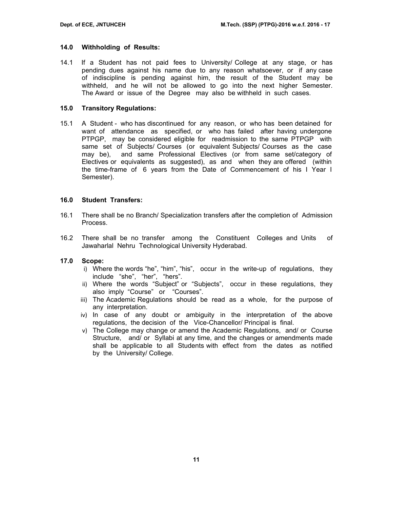#### **14.0 Withholding of Results:**

14.1 If a Student has not paid fees to University/ College at any stage, or has pending dues against his name due to any reason whatsoever, or if any case of indiscipline is pending against him, the result of the Student may be withheld, and he will not be allowed to go into the next higher Semester. The Award or issue of the Degree may also be withheld in such cases.

#### **15.0 Transitory Regulations:**

15.1 A Student - who has discontinued for any reason, or who has been detained for want of attendance as specified, or who has failed after having undergone PTPGP, may be considered eligible for readmission to the same PTPGP with same set of Subjects/ Courses (or equivalent Subjects/ Courses as the case may be), and same Professional Electives (or from same set/category of Electives or equivalents as suggested), as and when they are offered (within the time-frame of 6 years from the Date of Commencement of his I Year I Semester).

#### **16.0 Student Transfers:**

- 16.1 There shall be no Branch/ Specialization transfers after the completion of Admission Process.
- 16.2 There shall be no transfer among the Constituent Colleges and Units of Jawaharlal Nehru Technological University Hyderabad.

### **17.0 Scope:**

- i) Where the words "he", "him", "his", occur in the write-up of regulations, they include "she", "her", "hers".
- ii) Where the words "Subject" or "Subjects", occur in these regulations, they also imply "Course" or "Courses".
- iii) The Academic Regulations should be read as a whole, for the purpose of any interpretation.
- iv) In case of any doubt or ambiguity in the interpretation of the above regulations, the decision of the Vice-Chancellor/ Principal is final.
- v) The College may change or amend the Academic Regulations, and/ or Course Structure, and/ or Syllabi at any time, and the changes or amendments made shall be applicable to all Students with effect from the dates as notified by the University/ College.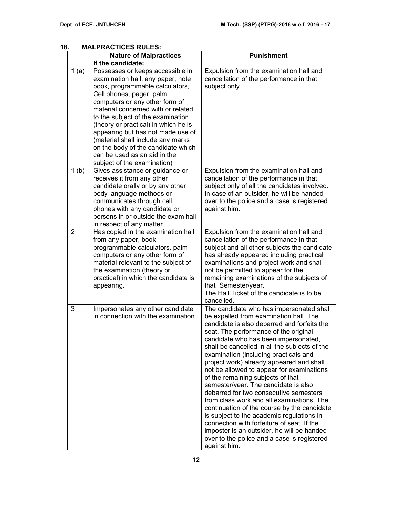|                  | <b>Nature of Malpractices</b>                                                                                                                                                                                                                                                                                                                                                                                                                                            | <b>Punishment</b>                                                                                                                                                                                                                                                                                                                                                                                                                                                                                                                                                                                                                                                                                                                                                                                                                |
|------------------|--------------------------------------------------------------------------------------------------------------------------------------------------------------------------------------------------------------------------------------------------------------------------------------------------------------------------------------------------------------------------------------------------------------------------------------------------------------------------|----------------------------------------------------------------------------------------------------------------------------------------------------------------------------------------------------------------------------------------------------------------------------------------------------------------------------------------------------------------------------------------------------------------------------------------------------------------------------------------------------------------------------------------------------------------------------------------------------------------------------------------------------------------------------------------------------------------------------------------------------------------------------------------------------------------------------------|
|                  | If the candidate:                                                                                                                                                                                                                                                                                                                                                                                                                                                        |                                                                                                                                                                                                                                                                                                                                                                                                                                                                                                                                                                                                                                                                                                                                                                                                                                  |
| 1(a)             | Possesses or keeps accessible in<br>examination hall, any paper, note<br>book, programmable calculators,<br>Cell phones, pager, palm<br>computers or any other form of<br>material concerned with or related<br>to the subject of the examination<br>(theory or practical) in which he is<br>appearing but has not made use of<br>(material shall include any marks<br>on the body of the candidate which<br>can be used as an aid in the<br>subject of the examination) | Expulsion from the examination hall and<br>cancellation of the performance in that<br>subject only.                                                                                                                                                                                                                                                                                                                                                                                                                                                                                                                                                                                                                                                                                                                              |
| 1 <sub>(b)</sub> | Gives assistance or guidance or<br>receives it from any other<br>candidate orally or by any other<br>body language methods or<br>communicates through cell<br>phones with any candidate or<br>persons in or outside the exam hall<br>in respect of any matter.                                                                                                                                                                                                           | Expulsion from the examination hall and<br>cancellation of the performance in that<br>subject only of all the candidates involved.<br>In case of an outsider, he will be handed<br>over to the police and a case is registered<br>against him.                                                                                                                                                                                                                                                                                                                                                                                                                                                                                                                                                                                   |
| $\overline{2}$   | Has copied in the examination hall<br>from any paper, book,<br>programmable calculators, palm<br>computers or any other form of<br>material relevant to the subject of<br>the examination (theory or<br>practical) in which the candidate is<br>appearing.                                                                                                                                                                                                               | Expulsion from the examination hall and<br>cancellation of the performance in that<br>subject and all other subjects the candidate<br>has already appeared including practical<br>examinations and project work and shall<br>not be permitted to appear for the<br>remaining examinations of the subjects of<br>that Semester/year.<br>The Hall Ticket of the candidate is to be<br>cancelled.                                                                                                                                                                                                                                                                                                                                                                                                                                   |
| 3                | Impersonates any other candidate<br>in connection with the examination.                                                                                                                                                                                                                                                                                                                                                                                                  | The candidate who has impersonated shall<br>be expelled from examination hall. The<br>candidate is also debarred and forfeits the<br>seat. The performance of the original<br>candidate who has been impersonated,<br>shall be cancelled in all the subjects of the<br>examination (including practicals and<br>project work) already appeared and shall<br>not be allowed to appear for examinations<br>of the remaining subjects of that<br>semester/year. The candidate is also<br>debarred for two consecutive semesters<br>from class work and all examinations. The<br>continuation of the course by the candidate<br>is subject to the academic regulations in<br>connection with forfeiture of seat. If the<br>imposter is an outsider, he will be handed<br>over to the police and a case is registered<br>against him. |

## **18. MALPRACTICES RULES:**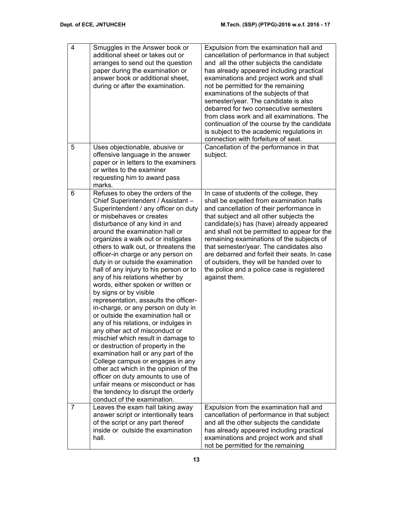| $\overline{4}$ | Smuggles in the Answer book or<br>additional sheet or takes out or<br>arranges to send out the question<br>paper during the examination or<br>answer book or additional sheet,<br>during or after the examination.                                                                                                                                                                                                                                                                                                                                                                                                                                                                                                                                                                                                                                                                                                                                                                                                                                                    | Expulsion from the examination hall and<br>cancellation of performance in that subject<br>and all the other subjects the candidate<br>has already appeared including practical<br>examinations and project work and shall<br>not be permitted for the remaining<br>examinations of the subjects of that<br>semester/year. The candidate is also<br>debarred for two consecutive semesters<br>from class work and all examinations. The<br>continuation of the course by the candidate<br>is subject to the academic regulations in<br>connection with forfeiture of seat. |
|----------------|-----------------------------------------------------------------------------------------------------------------------------------------------------------------------------------------------------------------------------------------------------------------------------------------------------------------------------------------------------------------------------------------------------------------------------------------------------------------------------------------------------------------------------------------------------------------------------------------------------------------------------------------------------------------------------------------------------------------------------------------------------------------------------------------------------------------------------------------------------------------------------------------------------------------------------------------------------------------------------------------------------------------------------------------------------------------------|---------------------------------------------------------------------------------------------------------------------------------------------------------------------------------------------------------------------------------------------------------------------------------------------------------------------------------------------------------------------------------------------------------------------------------------------------------------------------------------------------------------------------------------------------------------------------|
| 5              | Uses objectionable, abusive or<br>offensive language in the answer<br>paper or in letters to the examiners<br>or writes to the examiner<br>requesting him to award pass<br>marks.                                                                                                                                                                                                                                                                                                                                                                                                                                                                                                                                                                                                                                                                                                                                                                                                                                                                                     | Cancellation of the performance in that<br>subject.                                                                                                                                                                                                                                                                                                                                                                                                                                                                                                                       |
| 6              | Refuses to obey the orders of the<br>Chief Superintendent / Assistant -<br>Superintendent / any officer on duty<br>or misbehaves or creates<br>disturbance of any kind in and<br>around the examination hall or<br>organizes a walk out or instigates<br>others to walk out, or threatens the<br>officer-in charge or any person on<br>duty in or outside the examination<br>hall of any injury to his person or to<br>any of his relations whether by<br>words, either spoken or written or<br>by signs or by visible<br>representation, assaults the officer-<br>in-charge, or any person on duty in<br>or outside the examination hall or<br>any of his relations, or indulges in<br>any other act of misconduct or<br>mischief which result in damage to<br>or destruction of property in the<br>examination hall or any part of the<br>College campus or engages in any<br>other act which in the opinion of the<br>officer on duty amounts to use of<br>unfair means or misconduct or has<br>the tendency to disrupt the orderly<br>conduct of the examination. | In case of students of the college, they<br>shall be expelled from examination halls<br>and cancellation of their performance in<br>that subject and all other subjects the<br>candidate(s) has (have) already appeared<br>and shall not be permitted to appear for the<br>remaining examinations of the subjects of<br>that semester/year. The candidates also<br>are debarred and forfeit their seats. In case<br>of outsiders, they will be handed over to<br>the police and a police case is registered<br>against them.                                              |
| $\overline{7}$ | Leaves the exam hall taking away<br>answer script or intentionally tears<br>of the script or any part thereof<br>inside or outside the examination<br>hall.                                                                                                                                                                                                                                                                                                                                                                                                                                                                                                                                                                                                                                                                                                                                                                                                                                                                                                           | Expulsion from the examination hall and<br>cancellation of performance in that subject<br>and all the other subjects the candidate<br>has already appeared including practical<br>examinations and project work and shall<br>not be permitted for the remaining                                                                                                                                                                                                                                                                                                           |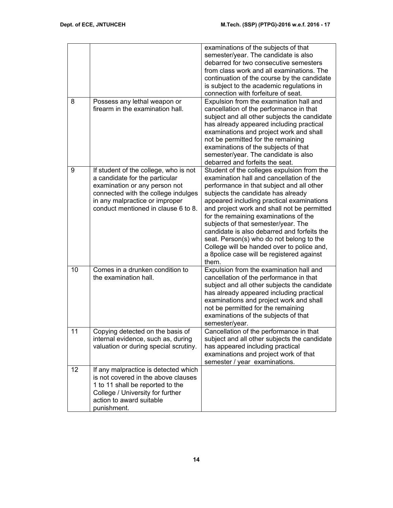|    |                                                                                                                                                                                                                          | examinations of the subjects of that<br>semester/year. The candidate is also<br>debarred for two consecutive semesters<br>from class work and all examinations. The<br>continuation of the course by the candidate<br>is subject to the academic regulations in<br>connection with forfeiture of seat.                                                                                                                                                                                                                                               |
|----|--------------------------------------------------------------------------------------------------------------------------------------------------------------------------------------------------------------------------|------------------------------------------------------------------------------------------------------------------------------------------------------------------------------------------------------------------------------------------------------------------------------------------------------------------------------------------------------------------------------------------------------------------------------------------------------------------------------------------------------------------------------------------------------|
| 8  | Possess any lethal weapon or<br>firearm in the examination hall.                                                                                                                                                         | Expulsion from the examination hall and<br>cancellation of the performance in that<br>subject and all other subjects the candidate<br>has already appeared including practical<br>examinations and project work and shall<br>not be permitted for the remaining<br>examinations of the subjects of that<br>semester/year. The candidate is also<br>debarred and forfeits the seat.                                                                                                                                                                   |
| 9  | If student of the college, who is not<br>a candidate for the particular<br>examination or any person not<br>connected with the college indulges<br>in any malpractice or improper<br>conduct mentioned in clause 6 to 8. | Student of the colleges expulsion from the<br>examination hall and cancellation of the<br>performance in that subject and all other<br>subjects the candidate has already<br>appeared including practical examinations<br>and project work and shall not be permitted<br>for the remaining examinations of the<br>subjects of that semester/year. The<br>candidate is also debarred and forfeits the<br>seat. Person(s) who do not belong to the<br>College will be handed over to police and,<br>a 8police case will be registered against<br>them. |
| 10 | Comes in a drunken condition to<br>the examination hall.                                                                                                                                                                 | Expulsion from the examination hall and<br>cancellation of the performance in that<br>subject and all other subjects the candidate<br>has already appeared including practical<br>examinations and project work and shall<br>not be permitted for the remaining<br>examinations of the subjects of that<br>semester/year.                                                                                                                                                                                                                            |
| 11 | Copying detected on the basis of<br>internal evidence, such as, during<br>valuation or during special scrutiny.                                                                                                          | Cancellation of the performance in that<br>subject and all other subjects the candidate<br>has appeared including practical<br>examinations and project work of that<br>semester / year examinations.                                                                                                                                                                                                                                                                                                                                                |
| 12 | If any malpractice is detected which<br>is not covered in the above clauses<br>1 to 11 shall be reported to the<br>College / University for further<br>action to award suitable<br>punishment.                           |                                                                                                                                                                                                                                                                                                                                                                                                                                                                                                                                                      |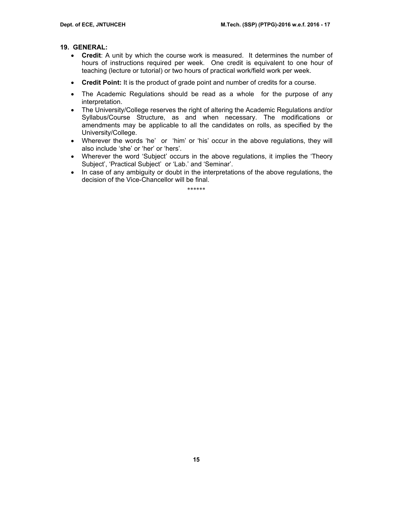## **19. GENERAL:**

- **Credit**: A unit by which the course work is measured. It determines the number of hours of instructions required per week. One credit is equivalent to one hour of teaching (lecture or tutorial) or two hours of practical work/field work per week.
- **Credit Point:** It is the product of grade point and number of credits for a course.
- The Academic Regulations should be read as a whole for the purpose of any interpretation.
- The University/College reserves the right of altering the Academic Regulations and/or Syllabus/Course Structure, as and when necessary. The modifications or amendments may be applicable to all the candidates on rolls, as specified by the University/College.
- Wherever the words 'he' or 'him' or 'his' occur in the above regulations, they will also include 'she' or 'her' or 'hers'.
- Wherever the word 'Subject' occurs in the above regulations, it implies the 'Theory Subject', 'Practical Subject' or 'Lab.' and 'Seminar'.
- In case of any ambiguity or doubt in the interpretations of the above regulations, the decision of the Vice-Chancellor will be final.

\*\*\*\*\*\*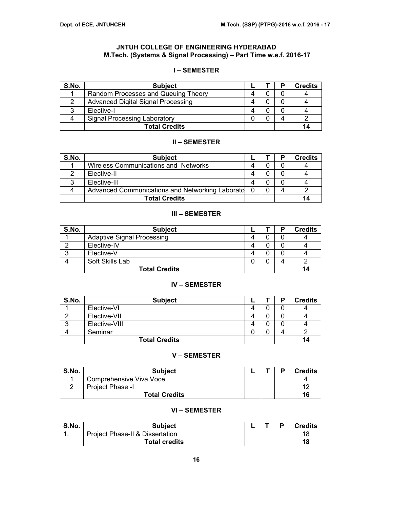## **JNTUH COLLEGE OF ENGINEERING HYDERABAD M.Tech. (Systems & Signal Processing) – Part Time w.e.f. 2016-17**

## **I – SEMESTER**

| S.No. | <b>Subject</b>                            |  | <b>Credits</b> |
|-------|-------------------------------------------|--|----------------|
|       | Random Processes and Queuing Theory       |  |                |
|       | <b>Advanced Digital Signal Processing</b> |  |                |
|       | Elective-I                                |  |                |
|       | Signal Processing Laboratory              |  |                |
|       | <b>Total Credits</b>                      |  | 14             |

## **II – SEMESTER**

| S.No. | <b>Subject</b>                                  |  | D | <b>Credits</b> |
|-------|-------------------------------------------------|--|---|----------------|
|       | Wireless Communications and Networks            |  |   |                |
|       | Elective-II                                     |  |   |                |
| っ     | Elective-III                                    |  |   |                |
|       | Advanced Communications and Networking Laborato |  |   |                |
|       | <b>Total Credits</b>                            |  |   | 14             |

## **III – SEMESTER**

| S.No. | <b>Subject</b>                    |  | D | <b>Credits</b> |
|-------|-----------------------------------|--|---|----------------|
|       | <b>Adaptive Signal Processing</b> |  |   |                |
|       | Elective-IV                       |  |   |                |
|       | Elective-V                        |  |   |                |
|       | Soft Skills Lab                   |  |   |                |
|       | <b>Total Credits</b>              |  |   | 14             |

### **IV – SEMESTER**

| S.No. | <b>Subject</b>       |  | Ð | <b>Credits</b> |
|-------|----------------------|--|---|----------------|
|       | Elective-VI          |  |   |                |
|       | Elective-VII         |  |   |                |
|       | Elective-VIII        |  |   |                |
|       | Seminar              |  | 4 |                |
|       | <b>Total Credits</b> |  |   | 14             |

#### **V – SEMESTER**

| S.No. | <b>Subject</b>          |  | D | <b>Credits</b> |
|-------|-------------------------|--|---|----------------|
|       | Comprehensive Viva Voce |  |   |                |
|       | Project Phase -I        |  |   | $\cdot$        |
|       | <b>Total Credits</b>    |  |   | 16             |

## **VI – SEMESTER**

| S.No. | Subject                         |  | D | <b>Credits</b> |
|-------|---------------------------------|--|---|----------------|
|       | Project Phase-II & Dissertation |  |   | 1٤             |
|       | <b>Total credits</b>            |  |   | 18             |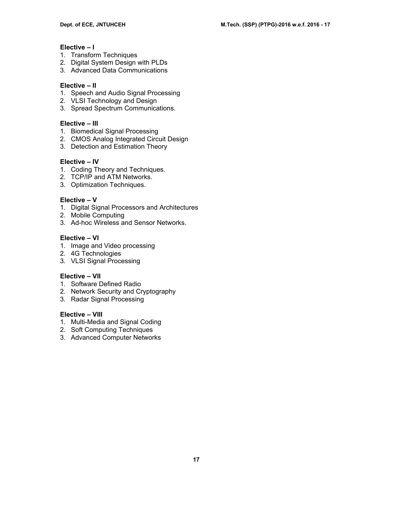## **Elective – I**

- 1. Transform Techniques
- 2. Digital System Design with PLDs
- 3. Advanced Data Communications

### **Elective – II**

- 1. Speech and Audio Signal Processing
- 2. VLSI Technology and Design
- 3. Spread Spectrum Communications.

## **Elective – III**

- 1. Biomedical Signal Processing
- 2. CMOS Analog Integrated Circuit Design
- 3. Detection and Estimation Theory

## **Elective – IV**

- 1. Coding Theory and Techniques.
- 2. TCP/IP and ATM Networks.
- 3. Optimization Techniques.

## **Elective – V**

- 1. Digital Signal Processors and Architectures
- 2. Mobile Computing
- 3. Ad-hoc Wireless and Sensor Networks.

## **Elective – VI**

- 1. Image and Video processing
- 2. 4G Technologies
- 3. VLSI Signal Processing

### **Elective – VII**

- 1. Software Defined Radio
- 2. Network Security and Cryptography
- 3. Radar Signal Processing

## **Elective – VIII**

- 1. Multi-Media and Signal Coding
- 2. Soft Computing Techniques
- 3. Advanced Computer Networks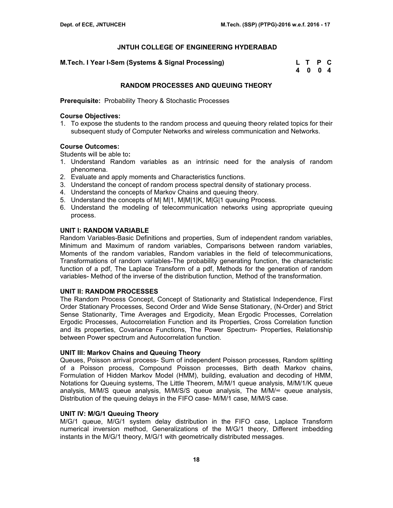| M.Tech. I Year I-Sem (Systems & Signal Processing) | L T P C |  |
|----------------------------------------------------|---------|--|
|                                                    | 4 0 0 4 |  |

## **RANDOM PROCESSES AND QUEUING THEORY**

**Prerequisite:** Probability Theory & Stochastic Processes

## **Course Objectives:**

1. To expose the students to the random process and queuing theory related topics for their subsequent study of Computer Networks and wireless communication and Networks.

### **Course Outcomes:**

Students will be able to**:** 

- 1. Understand Random variables as an intrinsic need for the analysis of random phenomena.
- 2. Evaluate and apply moments and Characteristics functions.
- 3. Understand the concept of random process spectral density of stationary process.
- 4. Understand the concepts of Markov Chains and queuing theory.
- 5. Understand the concepts of M| M|1, M|M|1|K, M|G|1 queuing Process.
- 6. Understand the modeling of telecommunication networks using appropriate queuing process.

### **UNIT I: RANDOM VARIABLE**

Random Variables-Basic Definitions and properties, Sum of independent random variables, Minimum and Maximum of random variables, Comparisons between random variables, Moments of the random variables, Random variables in the field of telecommunications, Transformations of random variables-The probability generating function, the characteristic function of a pdf, The Laplace Transform of a pdf, Methods for the generation of random variables- Method of the inverse of the distribution function, Method of the transformation.

### **UNIT II: RANDOM PROCESSES**

The Random Process Concept, Concept of Stationarity and Statistical Independence, First Order Stationary Processes, Second Order and Wide Sense Stationary, (N-Order) and Strict Sense Stationarity, Time Averages and Ergodicity, Mean Ergodic Processes, Correlation Ergodic Processes, Autocorrelation Function and its Properties, Cross Correlation function and its properties, Covariance Functions, The Power Spectrum- Properties, Relationship between Power spectrum and Autocorrelation function.

### **UNIT III: Markov Chains and Queuing Theory**

Queues, Poisson arrival process- Sum of independent Poisson processes, Random splitting of a Poisson process, Compound Poisson processes, Birth death Markov chains, Formulation of Hidden Markov Model (HMM), building, evaluation and decoding of HMM, Notations for Queuing systems, The Little Theorem, M/M/1 queue analysis, M/M/1/K queue analysis, M/M/S queue analysis, M/M/S/S queue analysis, The M/M/∞ queue analysis, Distribution of the queuing delays in the FIFO case- M/M/1 case, M/M/S case.

### **UNIT IV: M/G/1 Queuing Theory**

M/G/1 queue, M/G/1 system delay distribution in the FIFO case, Laplace Transform numerical inversion method, Generalizations of the M/G/1 theory, Different imbedding instants in the M/G/1 theory, M/G/1 with geometrically distributed messages.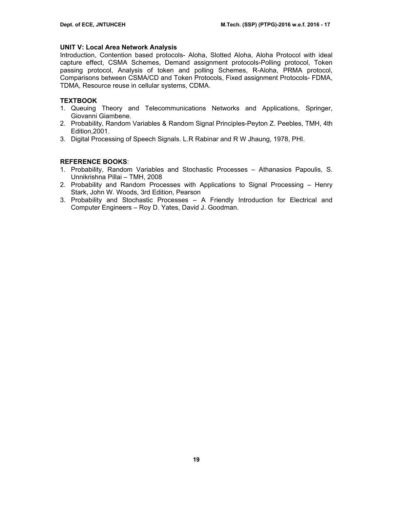## **UNIT V: Local Area Network Analysis**

Introduction, Contention based protocols- Aloha, Slotted Aloha, Aloha Protocol with ideal capture effect, CSMA Schemes, Demand assignment protocols-Polling protocol, Token passing protocol, Analysis of token and polling Schemes, R-Aloha, PRMA protocol, Comparisons between CSMA/CD and Token Protocols, Fixed assignment Protocols- FDMA, TDMA, Resource reuse in cellular systems, CDMA.

## **TEXTBOOK**

- 1. Queuing Theory and Telecommunications Networks and Applications, Springer, Giovanni Giambene.
- 2. Probability, Random Variables & Random Signal Principles-Peyton Z. Peebles, TMH, 4th Edition,2001.
- 3. Digital Processing of Speech Signals. L.R Rabinar and R W Jhaung, 1978, PHI.

## **REFERENCE BOOKS**:

- 1. Probability, Random Variables and Stochastic Processes Athanasios Papoulis, S. Unnikrishna Pillai – TMH, 2008
- 2. Probability and Random Processes with Applications to Signal Processing Henry Stark, John W. Woods, 3rd Edition, Pearson
- 3. Probability and Stochastic Processes A Friendly Introduction for Electrical and Computer Engineers – Roy D. Yates, David J. Goodman.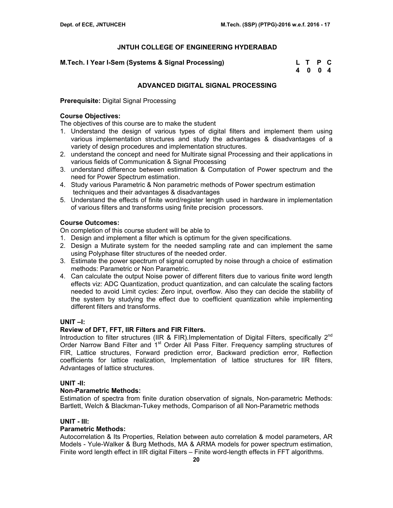| M.Tech. I Year I-Sem (Systems & Signal Processing) | L T P C |  |
|----------------------------------------------------|---------|--|
|                                                    | 4 0 0 4 |  |

## **ADVANCED DIGITAL SIGNAL PROCESSING**

**Prerequisite:** Digital Signal Processing

## **Course Objectives:**

The objectives of this course are to make the student

- 1. Understand the design of various types of digital filters and implement them using various implementation structures and study the advantages & disadvantages of a variety of design procedures and implementation structures.
- 2. understand the concept and need for Multirate signal Processing and their applications in various fields of Communication & Signal Processing
- 3. understand difference between estimation & Computation of Power spectrum and the need for Power Spectrum estimation.
- 4. Study various Parametric & Non parametric methods of Power spectrum estimation techniques and their advantages & disadvantages
- 5. Understand the effects of finite word/register length used in hardware in implementation of various filters and transforms using finite precision processors.

## **Course Outcomes:**

On completion of this course student will be able to

- 1. Design and implement a filter which is optimum for the given specifications.
- 2. Design a Mutirate system for the needed sampling rate and can implement the same using Polyphase filter structures of the needed order.
- 3. Estimate the power spectrum of signal corrupted by noise through a choice of estimation methods: Parametric or Non Parametric.
- 4. Can calculate the output Noise power of different filters due to various finite word length effects viz: ADC Quantization, product quantization, and can calculate the scaling factors needed to avoid Limit cycles: Zero input, overflow. Also they can decide the stability of the system by studying the effect due to coefficient quantization while implementing different filters and transforms.

### **UNIT –I:**

## **Review of DFT, FFT, IIR Filters and FIR Filters.**

Introduction to filter structures (IIR & FIR).Implementation of Digital Filters, specifically  $2<sup>nd</sup>$ Order Narrow Band Filter and 1<sup>st</sup> Order All Pass Filter. Frequency sampling structures of FIR, Lattice structures, Forward prediction error, Backward prediction error, Reflection coefficients for lattice realization, Implementation of lattice structures for IIR filters, Advantages of lattice structures.

### **UNIT -II:**

### **Non-Parametric Methods:**

Estimation of spectra from finite duration observation of signals, Non-parametric Methods: Bartlett, Welch & Blackman-Tukey methods, Comparison of all Non-Parametric methods

### **UNIT - III:**

### **Parametric Methods:**

Autocorrelation & Its Properties, Relation between auto correlation & model parameters, AR Models - Yule-Walker & Burg Methods, MA & ARMA models for power spectrum estimation, Finite word length effect in IIR digital Filters – Finite word-length effects in FFT algorithms.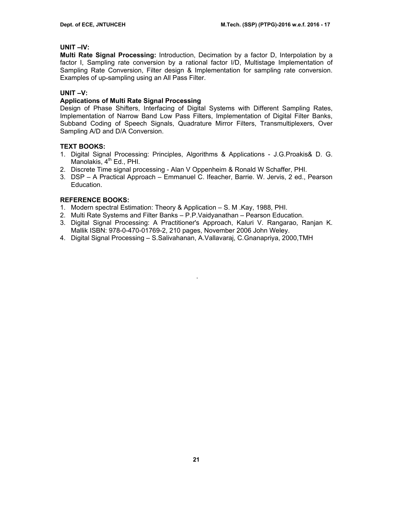## **UNIT –IV:**

**Multi Rate Signal Processing:** Introduction, Decimation by a factor D, Interpolation by a factor I, Sampling rate conversion by a rational factor I/D, Multistage Implementation of Sampling Rate Conversion, Filter design & Implementation for sampling rate conversion. Examples of up-sampling using an All Pass Filter.

## **UNIT –V:**

## **Applications of Multi Rate Signal Processing**

Design of Phase Shifters, Interfacing of Digital Systems with Different Sampling Rates, Implementation of Narrow Band Low Pass Filters, Implementation of Digital Filter Banks, Subband Coding of Speech Signals, Quadrature Mirror Filters, Transmultiplexers, Over Sampling A/D and D/A Conversion.

## **TEXT BOOKS:**

- 1. Digital Signal Processing: Principles, Algorithms & Applications J.G.Proakis& D. G. Manolakis, 4<sup>th</sup> Ed., PHI.
- 2. Discrete Time signal processing Alan V Oppenheim & Ronald W Schaffer, PHI.
- 3. DSP A Practical Approach Emmanuel C. Ifeacher, Barrie. W. Jervis, 2 ed., Pearson Education.

## **REFERENCE BOOKS:**

- 1. Modern spectral Estimation: Theory & Application S. M .Kay, 1988, PHI.
- 2. Multi Rate Systems and Filter Banks P.P.Vaidyanathan Pearson Education.
- 3. Digital Signal Processing: A Practitioner's Approach, Kaluri V. Rangarao, Ranjan K. Mallik ISBN: 978-0-470-01769-2, 210 pages, November 2006 John Weley.

.

4. Digital Signal Processing – S.Salivahanan, A.Vallavaraj, C.Gnanapriya, 2000,TMH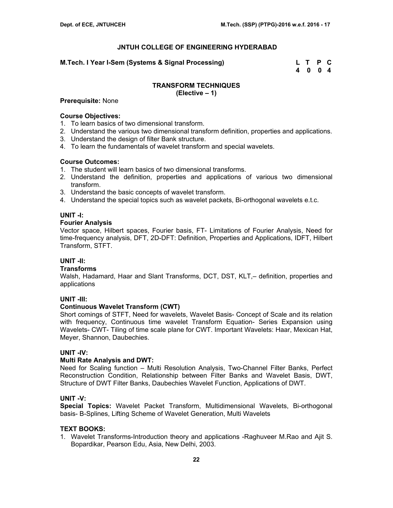### **M.Tech. I Year I-Sem (Systems & Signal Processing) L T P C**

 **4 0 0 4** 

#### **TRANSFORM TECHNIQUES (Elective – 1)**

## **Prerequisite:** None

## **Course Objectives:**

- 1. To learn basics of two dimensional transform.
- 2. Understand the various two dimensional transform definition, properties and applications.
- 3. Understand the design of filter Bank structure.
- 4. To learn the fundamentals of wavelet transform and special wavelets.

#### **Course Outcomes:**

- 1. The student will learn basics of two dimensional transforms.
- 2. Understand the definition, properties and applications of various two dimensional transform.
- 3. Understand the basic concepts of wavelet transform.
- 4. Understand the special topics such as wavelet packets, Bi-orthogonal wavelets e.t.c.

### **UNIT -I:**

## **Fourier Analysis**

Vector space, Hilbert spaces, Fourier basis, FT- Limitations of Fourier Analysis, Need for time-frequency analysis, DFT, 2D-DFT: Definition, Properties and Applications, IDFT, Hilbert Transform, STFT.

## **UNIT -II:**

## **Transforms**

Walsh, Hadamard, Haar and Slant Transforms, DCT, DST, KLT,– definition, properties and applications

### **UNIT -III:**

## **Continuous Wavelet Transform (CWT)**

Short comings of STFT, Need for wavelets, Wavelet Basis- Concept of Scale and its relation with frequency, Continuous time wavelet Transform Equation- Series Expansion using Wavelets- CWT- Tiling of time scale plane for CWT. Important Wavelets: Haar, Mexican Hat, Meyer, Shannon, Daubechies.

### **UNIT -IV:**

#### **Multi Rate Analysis and DWT:**

Need for Scaling function – Multi Resolution Analysis, Two-Channel Filter Banks, Perfect Reconstruction Condition, Relationship between Filter Banks and Wavelet Basis, DWT, Structure of DWT Filter Banks, Daubechies Wavelet Function, Applications of DWT.

### **UNIT -V:**

**Special Topics:** Wavelet Packet Transform, Multidimensional Wavelets, Bi-orthogonal basis- B-Splines, Lifting Scheme of Wavelet Generation, Multi Wavelets

### **TEXT BOOKS:**

1. Wavelet Transforms-Introduction theory and applications -Raghuveer M.Rao and Ajit S. Bopardikar, Pearson Edu, Asia, New Delhi, 2003.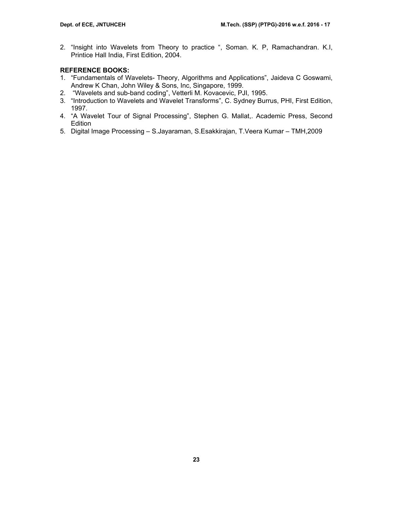2. "Insight into Wavelets from Theory to practice ", Soman. K. P, Ramachandran. K.I, Printice Hall India, First Edition, 2004.

## **REFERENCE BOOKS:**

- 1. "Fundamentals of Wavelets- Theory, Algorithms and Applications", Jaideva C Goswami, Andrew K Chan, John Wiley & Sons, Inc, Singapore, 1999.
- 2. "Wavelets and sub-band coding", Vetterli M. Kovacevic, PJI, 1995.
- 3. "Introduction to Wavelets and Wavelet Transforms", C. Sydney Burrus, PHI, First Edition, 1997.
- 4. "A Wavelet Tour of Signal Processing", Stephen G. Mallat,. Academic Press, Second Edition
- 5. Digital Image Processing S.Jayaraman, S.Esakkirajan, T.Veera Kumar TMH,2009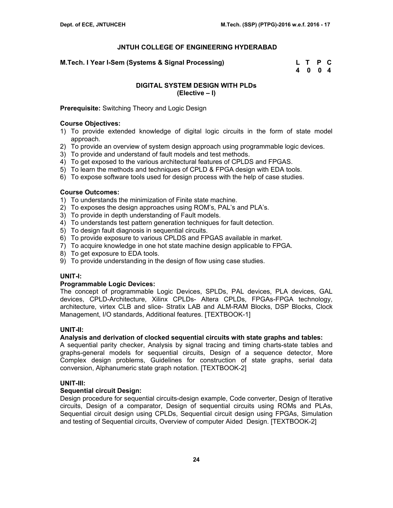**M.Tech. I Year I-Sem (Systems & Signal Processing)** 

| M.Tech. I Year I-Sem (Systems & Signal Processing) | L T P C |  |
|----------------------------------------------------|---------|--|
|                                                    | 4 0 0 4 |  |

## **DIGITAL SYSTEM DESIGN WITH PLDs (Elective – I)**

**Prerequisite:** Switching Theory and Logic Design

## **Course Objectives:**

- 1) To provide extended knowledge of digital logic circuits in the form of state model approach.
- 2) To provide an overview of system design approach using programmable logic devices.
- 3) To provide and understand of fault models and test methods.
- 4) To get exposed to the various architectural features of CPLDS and FPGAS.
- 5) To learn the methods and techniques of CPLD & FPGA design with EDA tools.
- 6) To expose software tools used for design process with the help of case studies.

## **Course Outcomes:**

- 1) To understands the minimization of Finite state machine.
- 2) To exposes the design approaches using ROM's, PAL's and PLA's.
- 3) To provide in depth understanding of Fault models.
- 4) To understands test pattern generation techniques for fault detection.
- 5) To design fault diagnosis in sequential circuits.
- 6) To provide exposure to various CPLDS and FPGAS available in market.
- 7) To acquire knowledge in one hot state machine design applicable to FPGA.
- 8) To get exposure to EDA tools.
- 9) To provide understanding in the design of flow using case studies.

### **UNIT-I:**

### **Programmable Logic Devices:**

The concept of programmable Logic Devices, SPLDs, PAL devices, PLA devices, GAL devices, CPLD-Architecture, Xilinx CPLDs- Altera CPLDs, FPGAs-FPGA technology, architecture, virtex CLB and slice- Stratix LAB and ALM-RAM Blocks, DSP Blocks, Clock Management, I/O standards, Additional features. [TEXTBOOK-1]

## **UNIT-II:**

## **Analysis and derivation of clocked sequential circuits with state graphs and tables:**

A sequential parity checker, Analysis by signal tracing and timing charts-state tables and graphs-general models for sequential circuits, Design of a sequence detector, More Complex design problems, Guidelines for construction of state graphs, serial data conversion, Alphanumeric state graph notation. [TEXTBOOK-2]

## **UNIT-III:**

### **Sequential circuit Design:**

Design procedure for sequential circuits-design example, Code converter, Design of Iterative circuits, Design of a comparator, Design of sequential circuits using ROMs and PLAs, Sequential circuit design using CPLDs, Sequential circuit design using FPGAs, Simulation and testing of Sequential circuits, Overview of computer Aided Design. [TEXTBOOK-2]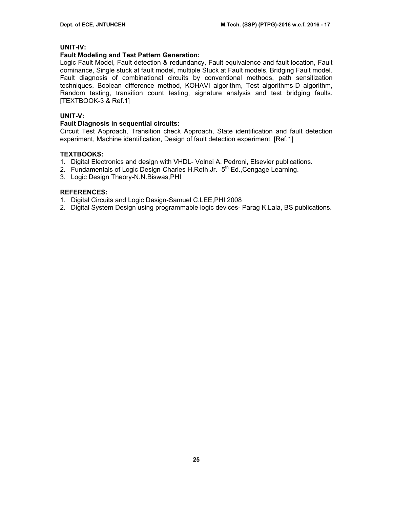## **UNIT-IV:**

### **Fault Modeling and Test Pattern Generation:**

Logic Fault Model, Fault detection & redundancy, Fault equivalence and fault location, Fault dominance, Single stuck at fault model, multiple Stuck at Fault models, Bridging Fault model. Fault diagnosis of combinational circuits by conventional methods, path sensitization techniques, Boolean difference method, KOHAVI algorithm, Test algorithms-D algorithm, Random testing, transition count testing, signature analysis and test bridging faults. [TEXTBOOK-3 & Ref.1]

## **UNIT-V:**

#### **Fault Diagnosis in sequential circuits:**

Circuit Test Approach, Transition check Approach, State identification and fault detection experiment, Machine identification, Design of fault detection experiment. [Ref.1]

### **TEXTBOOKS:**

- 1. Digital Electronics and design with VHDL- Volnei A. Pedroni, Elsevier publications.
- 2. Fundamentals of Logic Design-Charles H.Roth, Jr. -5<sup>th</sup> Ed., Cengage Learning.
- 3. Logic Design Theory-N.N.Biswas,PHI

### **REFERENCES:**

- 1. Digital Circuits and Logic Design-Samuel C.LEE,PHI 2008
- 2. Digital System Design using programmable logic devices- Parag K.Lala, BS publications.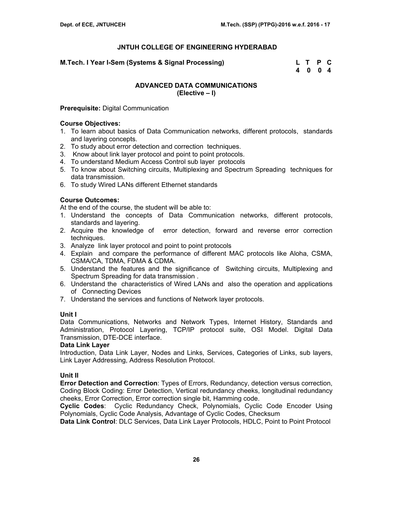**M.Tech. I Year I-Sem (Systems & Signal Processing) L T P C** 

 **4 0 0 4** 

## **ADVANCED DATA COMMUNICATIONS (Elective – I)**

## **Prerequisite:** Digital Communication

## **Course Objectives:**

- 1. To learn about basics of Data Communication networks, different protocols, standards and layering concepts.
- 2. To study about error detection and correction techniques.
- 3. Know about link layer protocol and point to point protocols.
- 4. To understand Medium Access Control sub layer protocols
- 5. To know about Switching circuits, Multiplexing and Spectrum Spreading techniques for data transmission.
- 6. To study Wired LANs different Ethernet standards

## **Course Outcomes:**

At the end of the course, the student will be able to:

- 1. Understand the concepts of Data Communication networks, different protocols, standards and layering.
- 2. Acquire the knowledge of error detection, forward and reverse error correction techniques.
- 3. Analyze link layer protocol and point to point protocols
- 4. Explain and compare the performance of different MAC protocols like Aloha, CSMA, CSMA/CA, TDMA, FDMA & CDMA.
- 5. Understand the features and the significance of Switching circuits, Multiplexing and Spectrum Spreading for data transmission .
- 6. Understand the characteristics of Wired LANs and also the operation and applications of Connecting Devices
- 7. Understand the services and functions of Network layer protocols.

## **Unit I**

Data Communications, Networks and Network Types, Internet History, Standards and Administration, Protocol Layering, TCP/IP protocol suite, OSI Model. Digital Data Transmission, DTE-DCE interface.

## **Data Link Layer**

Introduction, Data Link Layer, Nodes and Links, Services, Categories of Links, sub layers, Link Layer Addressing, Address Resolution Protocol.

## **Unit II**

**Error Detection and Correction**: Types of Errors, Redundancy, detection versus correction, Coding Block Coding: Error Detection, Vertical redundancy cheeks, longitudinal redundancy cheeks, Error Correction, Error correction single bit, Hamming code.

**Cyclic Codes**: Cyclic Redundancy Check, Polynomials, Cyclic Code Encoder Using Polynomials, Cyclic Code Analysis, Advantage of Cyclic Codes, Checksum

**Data Link Control**: DLC Services, Data Link Layer Protocols, HDLC, Point to Point Protocol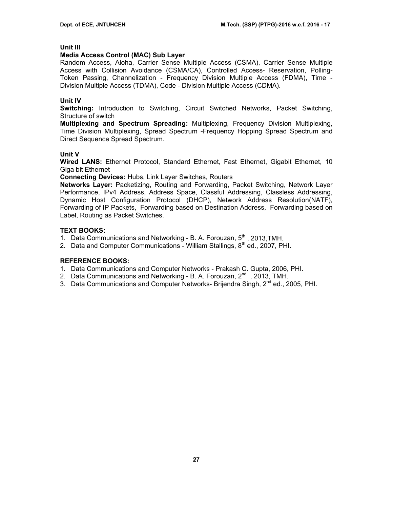## **Unit III**

## **Media Access Control (MAC) Sub Layer**

Random Access, Aloha, Carrier Sense Multiple Access (CSMA), Carrier Sense Multiple Access with Collision Avoidance (CSMA/CA), Controlled Access- Reservation, Polling-Token Passing, Channelization - Frequency Division Multiple Access (FDMA), Time - Division Multiple Access (TDMA), Code - Division Multiple Access (CDMA).

## **Unit IV**

**Switching:** Introduction to Switching, Circuit Switched Networks, Packet Switching, Structure of switch

**Multiplexing and Spectrum Spreading:** Multiplexing, Frequency Division Multiplexing, Time Division Multiplexing, Spread Spectrum -Frequency Hopping Spread Spectrum and Direct Sequence Spread Spectrum.

## **Unit V**

**Wired LANS:** Ethernet Protocol, Standard Ethernet, Fast Ethernet, Gigabit Ethernet, 10 Giga bit Ethernet

**Connecting Devices:** Hubs, Link Layer Switches, Routers

**Networks Layer:** Packetizing, Routing and Forwarding, Packet Switching, Network Layer Performance, IPv4 Address, Address Space, Classful Addressing, Classless Addressing, Dynamic Host Configuration Protocol (DHCP), Network Address Resolution(NATF), Forwarding of IP Packets, Forwarding based on Destination Address, Forwarding based on Label, Routing as Packet Switches.

## **TEXT BOOKS:**

- 1. Data Communications and Networking B. A. Forouzan, 5<sup>th</sup>, 2013, TMH.
- 2. Data and Computer Communications William Stallings,  $8<sup>th</sup>$  ed., 2007, PHI.

## **REFERENCE BOOKS:**

- 1. Data Communications and Computer Networks Prakash C. Gupta, 2006, PHI.
- 2. Data Communications and Networking B. A. Forouzan, 2<sup>nd</sup>, 2013, TMH.
- 3. Data Communications and Computer Networks- Brijendra Singh, 2<sup>nd</sup> ed., 2005, PHI.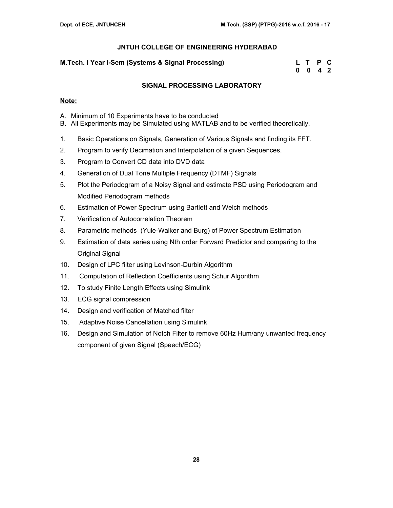## **M.Tech. I Year I-Sem (Systems & Signal Processing)**

| M.Tech. I Year I-Sem (Systems & Signal Processing) | L T P C            |  |
|----------------------------------------------------|--------------------|--|
|                                                    | $0 \t 0 \t 4 \t 2$ |  |

## **SIGNAL PROCESSING LABORATORY**

## **Note:**

- A. Minimum of 10 Experiments have to be conducted
- B. All Experiments may be Simulated using MATLAB and to be verified theoretically.
- 1. Basic Operations on Signals, Generation of Various Signals and finding its FFT.
- 2. Program to verify Decimation and Interpolation of a given Sequences.
- 3. Program to Convert CD data into DVD data
- 4. Generation of Dual Tone Multiple Frequency (DTMF) Signals
- 5. Plot the Periodogram of a Noisy Signal and estimate PSD using Periodogram and Modified Periodogram methods
- 6. Estimation of Power Spectrum using Bartlett and Welch methods
- 7. Verification of Autocorrelation Theorem
- 8. Parametric methods (Yule-Walker and Burg) of Power Spectrum Estimation
- 9. Estimation of data series using Nth order Forward Predictor and comparing to the Original Signal
- 10. Design of LPC filter using Levinson-Durbin Algorithm
- 11. Computation of Reflection Coefficients using Schur Algorithm
- 12. To study Finite Length Effects using Simulink
- 13. ECG signal compression
- 14. Design and verification of Matched filter
- 15. Adaptive Noise Cancellation using Simulink
- 16. Design and Simulation of Notch Filter to remove 60Hz Hum/any unwanted frequency component of given Signal (Speech/ECG)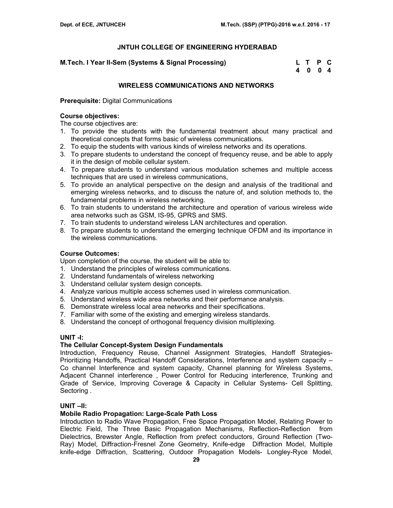| M.Tech. I Year II-Sem (Systems & Signal Processing) | L T P C |  |
|-----------------------------------------------------|---------|--|
|                                                     | 4 0 0 4 |  |

## **WIRELESS COMMUNICATIONS AND NETWORKS**

**Prerequisite:** Digital Communications

## **Course objectives:**

The course objectives are:

- 1. To provide the students with the fundamental treatment about many practical and theoretical concepts that forms basic of wireless communications.
- 2. To equip the students with various kinds of wireless networks and its operations.
- 3. To prepare students to understand the concept of frequency reuse, and be able to apply it in the design of mobile cellular system.
- 4. To prepare students to understand various modulation schemes and multiple access techniques that are used in wireless communications,
- 5. To provide an analytical perspective on the design and analysis of the traditional and emerging wireless networks, and to discuss the nature of, and solution methods to, the fundamental problems in wireless networking.
- 6. To train students to understand the architecture and operation of various wireless wide area networks such as GSM, IS-95, GPRS and SMS.
- 7. To train students to understand wireless LAN architectures and operation.
- 8. To prepare students to understand the emerging technique OFDM and its importance in the wireless communications.

## **Course Outcomes:**

Upon completion of the course, the student will be able to:

- 1. Understand the principles of wireless communications.
- 2. Understand fundamentals of wireless networking
- 3. Understand cellular system design concepts.
- 4. Analyze various multiple access schemes used in wireless communication.
- 5. Understand wireless wide area networks and their performance analysis.
- 6. Demonstrate wireless local area networks and their specifications.
- 7. Familiar with some of the existing and emerging wireless standards.
- 8. Understand the concept of orthogonal frequency division multiplexing.

## **UNIT -I:**

### **The Cellular Concept-System Design Fundamentals**

Introduction, Frequency Reuse, Channel Assignment Strategies, Handoff Strategies-Prioritizing Handoffs, Practical Handoff Considerations, Interference and system capacity – Co channel Interference and system capacity, Channel planning for Wireless Systems, Adjacent Channel interference , Power Control for Reducing interference, Trunking and Grade of Service, Improving Coverage & Capacity in Cellular Systems- Cell Splitting, Sectoring .

## **UNIT –II:**

### **Mobile Radio Propagation: Large-Scale Path Loss**

Introduction to Radio Wave Propagation, Free Space Propagation Model, Relating Power to Electric Field, The Three Basic Propagation Mechanisms, Reflection-Reflection from Dielectrics, Brewster Angle, Reflection from prefect conductors, Ground Reflection (Two-Ray) Model, Diffraction-Fresnel Zone Geometry, Knife-edge Diffraction Model, Multiple knife-edge Diffraction, Scattering, Outdoor Propagation Models- Longley-Ryce Model,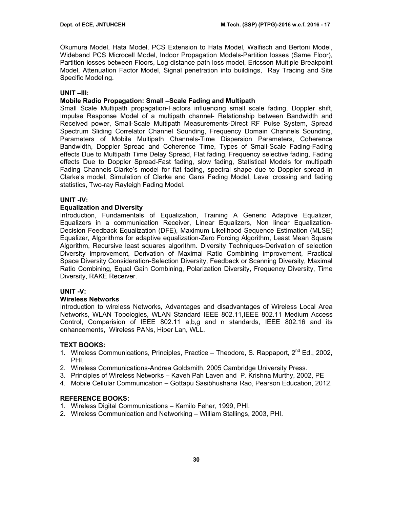Okumura Model, Hata Model, PCS Extension to Hata Model, Walfisch and Bertoni Model, Wideband PCS Microcell Model, Indoor Propagation Models-Partition losses (Same Floor), Partition losses between Floors, Log-distance path loss model, Ericsson Multiple Breakpoint Model, Attenuation Factor Model, Signal penetration into buildings, Ray Tracing and Site Specific Modeling.

## **UNIT –III:**

## **Mobile Radio Propagation: Small –Scale Fading and Multipath**

Small Scale Multipath propagation-Factors influencing small scale fading, Doppler shift, Impulse Response Model of a multipath channel- Relationship between Bandwidth and Received power, Small-Scale Multipath Measurements-Direct RF Pulse System, Spread Spectrum Sliding Correlator Channel Sounding, Frequency Domain Channels Sounding, Parameters of Mobile Multipath Channels-Time Dispersion Parameters, Coherence Bandwidth, Doppler Spread and Coherence Time, Types of Small-Scale Fading-Fading effects Due to Multipath Time Delay Spread, Flat fading, Frequency selective fading, Fading effects Due to Doppler Spread-Fast fading, slow fading, Statistical Models for multipath Fading Channels-Clarke's model for flat fading, spectral shape due to Doppler spread in Clarke's model, Simulation of Clarke and Gans Fading Model, Level crossing and fading statistics, Two-ray Rayleigh Fading Model.

## **UNIT -IV:**

## **Equalization and Diversity**

Introduction, Fundamentals of Equalization, Training A Generic Adaptive Equalizer, Equalizers in a communication Receiver, Linear Equalizers, Non linear Equalization-Decision Feedback Equalization (DFE), Maximum Likelihood Sequence Estimation (MLSE) Equalizer, Algorithms for adaptive equalization-Zero Forcing Algorithm, Least Mean Square Algorithm, Recursive least squares algorithm. Diversity Techniques-Derivation of selection Diversity improvement, Derivation of Maximal Ratio Combining improvement, Practical Space Diversity Consideration-Selection Diversity, Feedback or Scanning Diversity, Maximal Ratio Combining, Equal Gain Combining, Polarization Diversity, Frequency Diversity, Time Diversity, RAKE Receiver.

### **UNIT -V:**

### **Wireless Networks**

Introduction to wireless Networks, Advantages and disadvantages of Wireless Local Area Networks, WLAN Topologies, WLAN Standard IEEE 802.11,IEEE 802.11 Medium Access Control, Comparision of IEEE 802.11 a,b,g and n standards, IEEE 802.16 and its enhancements, Wireless PANs, Hiper Lan, WLL.

### **TEXT BOOKS:**

- 1. Wireless Communications, Principles, Practice Theodore, S. Rappaport, 2<sup>nd</sup> Ed., 2002, PHI.
- 2. Wireless Communications-Andrea Goldsmith, 2005 Cambridge University Press.
- 3. Principles of Wireless Networks Kaveh Pah Laven and P. Krishna Murthy, 2002, PE
- 4. Mobile Cellular Communication Gottapu Sasibhushana Rao, Pearson Education, 2012.

## **REFERENCE BOOKS:**

- 1. Wireless Digital Communications Kamilo Feher, 1999, PHI.
- 2. Wireless Communication and Networking William Stallings, 2003, PHI.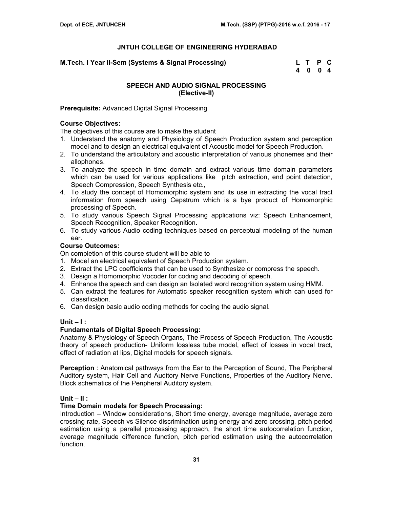**M.Tech. I Year II-Sem (Systems & Signal Processing) L T P C** 

 **4 0 0 4** 

## **SPEECH AND AUDIO SIGNAL PROCESSING (Elective-II)**

## **Prerequisite:** Advanced Digital Signal Processing

## **Course Objectives:**

The objectives of this course are to make the student

- 1. Understand the anatomy and Physiology of Speech Production system and perception model and to design an electrical equivalent of Acoustic model for Speech Production.
- 2. To understand the articulatory and acoustic interpretation of various phonemes and their allophones.
- 3. To analyze the speech in time domain and extract various time domain parameters which can be used for various applications like pitch extraction, end point detection, Speech Compression, Speech Synthesis etc.,
- 4. To study the concept of Homomorphic system and its use in extracting the vocal tract information from speech using Cepstrum which is a bye product of Homomorphic processing of Speech.
- 5. To study various Speech Signal Processing applications viz: Speech Enhancement, Speech Recognition, Speaker Recognition.
- 6. To study various Audio coding techniques based on perceptual modeling of the human ear.

## **Course Outcomes:**

On completion of this course student will be able to

- 1. Model an electrical equivalent of Speech Production system.
- 2. Extract the LPC coefficients that can be used to Synthesize or compress the speech.
- 3. Design a Homomorphic Vocoder for coding and decoding of speech.
- 4. Enhance the speech and can design an Isolated word recognition system using HMM.
- 5. Can extract the features for Automatic speaker recognition system which can used for classification.
- 6. Can design basic audio coding methods for coding the audio signal.

### **Unit – I :**

### **Fundamentals of Digital Speech Processing:**

Anatomy & Physiology of Speech Organs, The Process of Speech Production, The Acoustic theory of speech production- Uniform lossless tube model, effect of losses in vocal tract, effect of radiation at lips, Digital models for speech signals.

**Perception** : Anatomical pathways from the Ear to the Perception of Sound, The Peripheral Auditory system, Hair Cell and Auditory Nerve Functions, Properties of the Auditory Nerve. Block schematics of the Peripheral Auditory system.

## **Unit – II :**

### **Time Domain models for Speech Processing:**

Introduction – Window considerations, Short time energy, average magnitude, average zero crossing rate, Speech vs Silence discrimination using energy and zero crossing, pitch period estimation using a parallel processing approach, the short time autocorrelation function, average magnitude difference function, pitch period estimation using the autocorrelation function.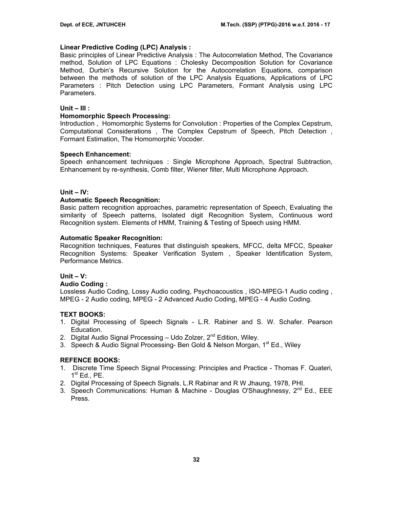## **Linear Predictive Coding (LPC) Analysis :**

Basic principles of Linear Predictive Analysis : The Autocorrelation Method, The Covariance method, Solution of LPC Equations : Cholesky Decomposition Solution for Covariance Method, Durbin's Recursive Solution for the Autocorrelation Equations, comparison between the methods of solution of the LPC Analysis Equations, Applications of LPC Parameters : Pitch Detection using LPC Parameters, Formant Analysis using LPC Parameters.

## **Unit – III :**

## **Homomorphic Speech Processing:**

Introduction , Homomorphic Systems for Convolution : Properties of the Complex Cepstrum, Computational Considerations , The Complex Cepstrum of Speech, Pitch Detection , Formant Estimation, The Homomorphic Vocoder.

## **Speech Enhancement:**

Speech enhancement techniques : Single Microphone Approach, Spectral Subtraction, Enhancement by re-synthesis, Comb filter, Wiener filter, Multi Microphone Approach.

## **Unit – IV:**

## **Automatic Speech Recognition:**

Basic pattern recognition approaches, parametric representation of Speech, Evaluating the similarity of Speech patterns, Isolated digit Recognition System, Continuous word Recognition system. Elements of HMM, Training & Testing of Speech using HMM.

## **Automatic Speaker Recognition:**

Recognition techniques, Features that distinguish speakers, MFCC, delta MFCC, Speaker Recognition Systems: Speaker Verification System , Speaker Identification System, Performance Metrics.

### **Unit – V:**

### **Audio Coding :**

Lossless Audio Coding, Lossy Audio coding, Psychoacoustics , ISO-MPEG-1 Audio coding , MPEG - 2 Audio coding, MPEG - 2 Advanced Audio Coding, MPEG - 4 Audio Coding.

## **TEXT BOOKS:**

- 1. Digital Processing of Speech Signals L.R. Rabiner and S. W. Schafer. Pearson Education.
- 2. Digital Audio Signal Processing  $-$  Udo Zolzer,  $2^{nd}$  Edition, Wiley.
- 3. Speech & Audio Signal Processing- Ben Gold & Nelson Morgan, 1<sup>st</sup> Ed., Wiley

## **REFENCE BOOKS:**

- 1. Discrete Time Speech Signal Processing: Principles and Practice Thomas F. Quateri,  $1^{\text{st}}$  Ed., PE.
- 2. Digital Processing of Speech Signals. L.R Rabinar and R W Jhaung, 1978, PHI.
- 3. Speech Communications: Human & Machine Douglas O'Shaughnessy,  $2^{nd}$  Ed., EEE Press.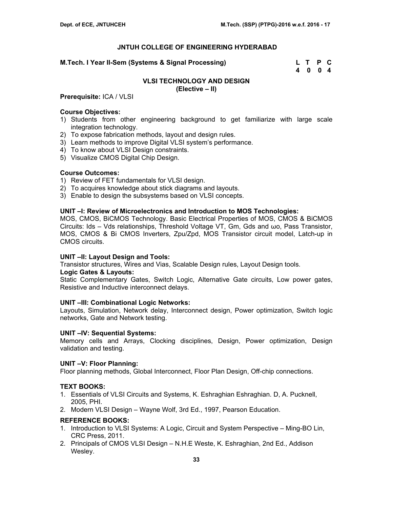#### **M.Tech. I Year II-Sem (Systems & Signal Processing)**

| M.Tech. I Year II-Sem (Systems & Signal Processing) | L T P C |  |
|-----------------------------------------------------|---------|--|
|                                                     | 4 0 0 4 |  |

## **VLSI TECHNOLOGY AND DESIGN**

**(Elective – II)** 

### **Prerequisite:** ICA / VLSI

#### **Course Objectives:**

- 1) Students from other engineering background to get familiarize with large scale integration technology.
- 2) To expose fabrication methods, layout and design rules.
- 3) Learn methods to improve Digital VLSI system's performance.
- 4) To know about VLSI Design constraints.
- 5) Visualize CMOS Digital Chip Design.

#### **Course Outcomes:**

- 1) Review of FET fundamentals for VLSI design.
- 2) To acquires knowledge about stick diagrams and layouts.
- 3) Enable to design the subsystems based on VLSI concepts.

#### **UNIT –I: Review of Microelectronics and Introduction to MOS Technologies:**

MOS, CMOS, BiCMOS Technology. Basic Electrical Properties of MOS, CMOS & BiCMOS Circuits: Ids – Vds relationships, Threshold Voltage VT, Gm, Gds and ωo, Pass Transistor, MOS, CMOS & Bi CMOS Inverters, Zpu/Zpd, MOS Transistor circuit model, Latch-up in CMOS circuits.

#### **UNIT –II: Layout Design and Tools:**

Transistor structures, Wires and Vias, Scalable Design rules, Layout Design tools.

#### **Logic Gates & Layouts:**

Static Complementary Gates, Switch Logic, Alternative Gate circuits, Low power gates, Resistive and Inductive interconnect delays.

#### **UNIT –III: Combinational Logic Networks:**

Layouts, Simulation, Network delay, Interconnect design, Power optimization, Switch logic networks, Gate and Network testing.

### **UNIT –IV: Sequential Systems:**

Memory cells and Arrays, Clocking disciplines, Design, Power optimization, Design validation and testing.

### **UNIT –V: Floor Planning:**

Floor planning methods, Global Interconnect, Floor Plan Design, Off-chip connections.

### **TEXT BOOKS:**

- 1. Essentials of VLSI Circuits and Systems, K. Eshraghian Eshraghian. D, A. Pucknell, 2005, PHI.
- 2. Modern VLSI Design Wayne Wolf, 3rd Ed., 1997, Pearson Education.

### **REFERENCE BOOKS:**

- 1. Introduction to VLSI Systems: A Logic, Circuit and System Perspective Ming-BO Lin, CRC Press, 2011.
- 2. Principals of CMOS VLSI Design N.H.E Weste, K. Eshraghian, 2nd Ed., Addison Wesley.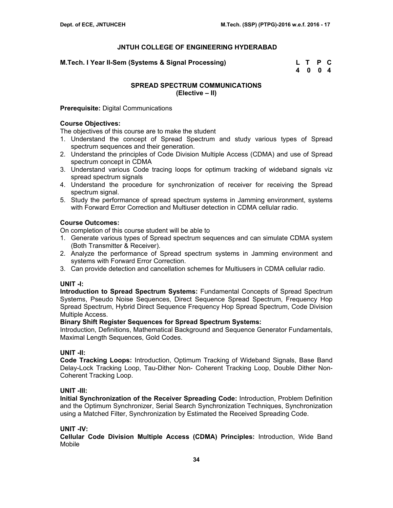**M.Tech. I Year II-Sem (Systems & Signal Processing) L T P C** 

 **4 0 0 4** 

## **SPREAD SPECTRUM COMMUNICATIONS (Elective – II)**

### **Prerequisite:** Digital Communications

## **Course Objectives:**

The objectives of this course are to make the student

- 1. Understand the concept of Spread Spectrum and study various types of Spread spectrum sequences and their generation.
- 2. Understand the principles of Code Division Multiple Access (CDMA) and use of Spread spectrum concept in CDMA
- 3. Understand various Code tracing loops for optimum tracking of wideband signals viz spread spectrum signals
- 4. Understand the procedure for synchronization of receiver for receiving the Spread spectrum signal.
- 5. Study the performance of spread spectrum systems in Jamming environment, systems with Forward Error Correction and Multiuser detection in CDMA cellular radio.

## **Course Outcomes:**

On completion of this course student will be able to

- 1. Generate various types of Spread spectrum sequences and can simulate CDMA system (Both Transmitter & Receiver).
- 2. Analyze the performance of Spread spectrum systems in Jamming environment and systems with Forward Error Correction.
- 3. Can provide detection and cancellation schemes for Multiusers in CDMA cellular radio.

## **UNIT -I:**

**Introduction to Spread Spectrum Systems:** Fundamental Concepts of Spread Spectrum Systems, Pseudo Noise Sequences, Direct Sequence Spread Spectrum, Frequency Hop Spread Spectrum, Hybrid Direct Sequence Frequency Hop Spread Spectrum, Code Division Multiple Access.

### **Binary Shift Register Sequences for Spread Spectrum Systems:**

Introduction, Definitions, Mathematical Background and Sequence Generator Fundamentals, Maximal Length Sequences, Gold Codes.

### **UNIT -II:**

**Code Tracking Loops:** Introduction, Optimum Tracking of Wideband Signals, Base Band Delay-Lock Tracking Loop, Tau-Dither Non- Coherent Tracking Loop, Double Dither Non-Coherent Tracking Loop.

### **UNIT -III:**

**Initial Synchronization of the Receiver Spreading Code:** Introduction, Problem Definition and the Optimum Synchronizer, Serial Search Synchronization Techniques, Synchronization using a Matched Filter, Synchronization by Estimated the Received Spreading Code.

## **UNIT -IV:**

**Cellular Code Division Multiple Access (CDMA) Principles:** Introduction, Wide Band Mobile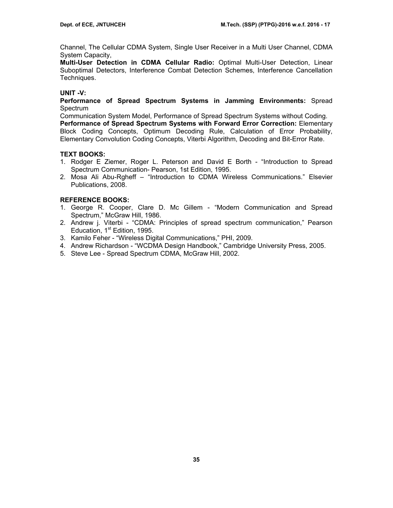Channel, The Cellular CDMA System, Single User Receiver in a Multi User Channel, CDMA System Capacity,

**Multi-User Detection in CDMA Cellular Radio:** Optimal Multi-User Detection, Linear Suboptimal Detectors, Interference Combat Detection Schemes, Interference Cancellation Techniques.

## **UNIT -V:**

**Performance of Spread Spectrum Systems in Jamming Environments:** Spread Spectrum

Communication System Model, Performance of Spread Spectrum Systems without Coding. **Performance of Spread Spectrum Systems with Forward Error Correction:** Elementary Block Coding Concepts, Optimum Decoding Rule, Calculation of Error Probability, Elementary Convolution Coding Concepts, Viterbi Algorithm, Decoding and Bit-Error Rate.

## **TEXT BOOKS:**

- 1. Rodger E Ziemer, Roger L. Peterson and David E Borth "Introduction to Spread Spectrum Communication- Pearson, 1st Edition, 1995.
- 2. Mosa Ali Abu-Rgheff "Introduction to CDMA Wireless Communications." Elsevier Publications, 2008.

## **REFERENCE BOOKS:**

- 1. George R. Cooper, Clare D. Mc Gillem "Modern Communication and Spread Spectrum," McGraw Hill, 1986.
- 2. Andrew j. Viterbi "CDMA: Principles of spread spectrum communication," Pearson Education, 1<sup>st</sup> Edition, 1995.
- 3. Kamilo Feher "Wireless Digital Communications," PHI, 2009.
- 4. Andrew Richardson "WCDMA Design Handbook," Cambridge University Press, 2005.
- 5. Steve Lee Spread Spectrum CDMA, McGraw Hill, 2002.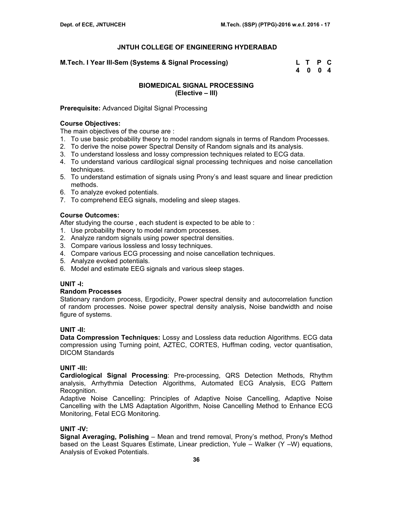**M.Tech. I Year III-Sem (Systems & Signal Processing) L T P C** 

 **4 0 0 4** 

# **BIOMEDICAL SIGNAL PROCESSING (Elective – III)**

## **Prerequisite:** Advanced Digital Signal Processing

#### **Course Objectives:**

The main objectives of the course are :

- 1. To use basic probability theory to model random signals in terms of Random Processes.
- 2. To derive the noise power Spectral Density of Random signals and its analysis.
- 3. To understand lossless and lossy compression techniques related to ECG data.
- 4. To understand various cardilogical signal processing techniques and noise cancellation techniques.
- 5. To understand estimation of signals using Prony's and least square and linear prediction methods.
- 6. To analyze evoked potentials.
- 7. To comprehend EEG signals, modeling and sleep stages.

# **Course Outcomes:**

After studying the course, each student is expected to be able to:

- 1. Use probability theory to model random processes.
- 2. Analyze random signals using power spectral densities.
- 3. Compare various lossless and lossy techniques.
- 4. Compare various ECG processing and noise cancellation techniques.
- 5. Analyze evoked potentials.
- 6. Model and estimate EEG signals and various sleep stages.

# **UNIT -I:**

#### **Random Processes**

Stationary random process, Ergodicity, Power spectral density and autocorrelation function of random processes. Noise power spectral density analysis, Noise bandwidth and noise figure of systems.

# **UNIT -II:**

**Data Compression Techniques:** Lossy and Lossless data reduction Algorithms. ECG data compression using Turning point, AZTEC, CORTES, Huffman coding, vector quantisation, DICOM Standards

#### **UNIT -III:**

**Cardiological Signal Processing**: Pre-processing, QRS Detection Methods, Rhythm analysis, Arrhythmia Detection Algorithms, Automated ECG Analysis, ECG Pattern Recognition.

Adaptive Noise Cancelling: Principles of Adaptive Noise Cancelling, Adaptive Noise Cancelling with the LMS Adaptation Algorithm, Noise Cancelling Method to Enhance ECG Monitoring, Fetal ECG Monitoring.

# **UNIT -IV:**

**Signal Averaging, Polishing** – Mean and trend removal, Prony's method, Prony's Method based on the Least Squares Estimate, Linear prediction, Yule – Walker (Y –W) equations, Analysis of Evoked Potentials.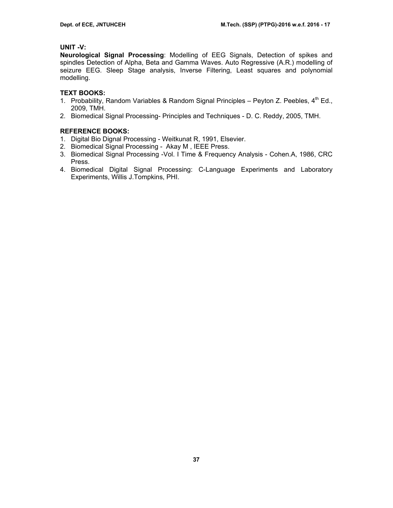## **UNIT -V:**

**Neurological Signal Processing**: Modelling of EEG Signals, Detection of spikes and spindles Detection of Alpha, Beta and Gamma Waves. Auto Regressive (A.R.) modelling of seizure EEG. Sleep Stage analysis, Inverse Filtering, Least squares and polynomial modelling.

# **TEXT BOOKS:**

- 1. Probability, Random Variables & Random Signal Principles Peyton Z. Peebles,  $4<sup>th</sup>$  Ed., 2009, TMH.
- 2. Biomedical Signal Processing- Principles and Techniques D. C. Reddy, 2005, TMH.

- 1. Digital Bio Dignal Processing Weitkunat R, 1991, Elsevier.
- 2. Biomedical Signal Processing Akay M , IEEE Press.
- 3. Biomedical Signal Processing -Vol. I Time & Frequency Analysis Cohen.A, 1986, CRC Press.
- 4. Biomedical Digital Signal Processing: C-Language Experiments and Laboratory Experiments, Willis J.Tompkins, PHI.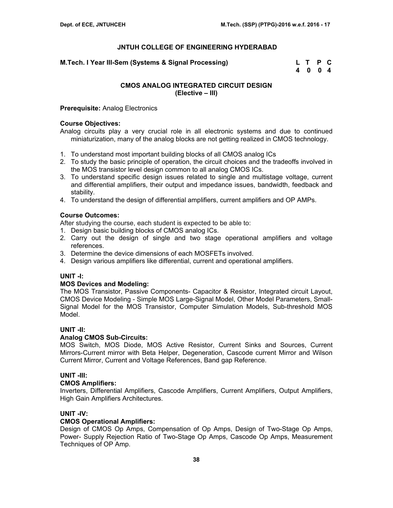**M.Tech. I Year III-Sem (Systems & Signal Processing) L T P C** 

 **4 0 0 4** 

# **CMOS ANALOG INTEGRATED CIRCUIT DESIGN (Elective – III)**

**Prerequisite:** Analog Electronics

#### **Course Objectives:**

Analog circuits play a very crucial role in all electronic systems and due to continued miniaturization, many of the analog blocks are not getting realized in CMOS technology.

- 1. To understand most important building blocks of all CMOS analog ICs
- 2. To study the basic principle of operation, the circuit choices and the tradeoffs involved in the MOS transistor level design common to all analog CMOS ICs.
- 3. To understand specific design issues related to single and multistage voltage, current and differential amplifiers, their output and impedance issues, bandwidth, feedback and stability.
- 4. To understand the design of differential amplifiers, current amplifiers and OP AMPs.

## **Course Outcomes:**

After studying the course, each student is expected to be able to:

- 1. Design basic building blocks of CMOS analog ICs.
- 2. Carry out the design of single and two stage operational amplifiers and voltage references.
- 3. Determine the device dimensions of each MOSFETs involved.
- 4. Design various amplifiers like differential, current and operational amplifiers.

#### **UNIT -I:**

#### **MOS Devices and Modeling:**

The MOS Transistor, Passive Components- Capacitor & Resistor, Integrated circuit Layout, CMOS Device Modeling - Simple MOS Large-Signal Model, Other Model Parameters, Small-Signal Model for the MOS Transistor, Computer Simulation Models, Sub-threshold MOS Model.

#### **UNIT -II:**

#### **Analog CMOS Sub-Circuits:**

MOS Switch, MOS Diode, MOS Active Resistor, Current Sinks and Sources, Current Mirrors-Current mirror with Beta Helper, Degeneration, Cascode current Mirror and Wilson Current Mirror, Current and Voltage References, Band gap Reference.

# **UNIT -III:**

#### **CMOS Amplifiers:**

Inverters, Differential Amplifiers, Cascode Amplifiers, Current Amplifiers, Output Amplifiers, High Gain Amplifiers Architectures.

#### **UNIT -IV:**

#### **CMOS Operational Amplifiers:**

Design of CMOS Op Amps, Compensation of Op Amps, Design of Two-Stage Op Amps, Power- Supply Rejection Ratio of Two-Stage Op Amps, Cascode Op Amps, Measurement Techniques of OP Amp.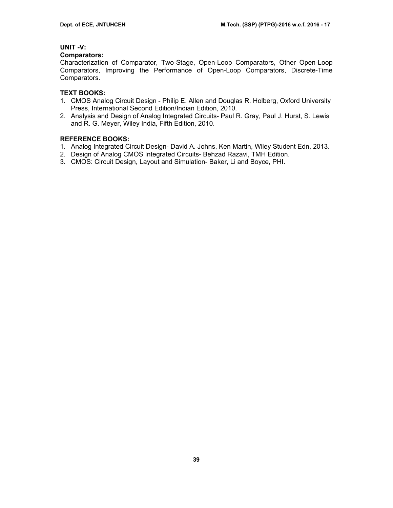# **UNIT -V:**

#### **Comparators:**

Characterization of Comparator, Two-Stage, Open-Loop Comparators, Other Open-Loop Comparators, Improving the Performance of Open-Loop Comparators, Discrete-Time Comparators.

## **TEXT BOOKS:**

- 1. CMOS Analog Circuit Design Philip E. Allen and Douglas R. Holberg, Oxford University Press, International Second Edition/Indian Edition, 2010.
- 2. Analysis and Design of Analog Integrated Circuits- Paul R. Gray, Paul J. Hurst, S. Lewis and R. G. Meyer, Wiley India, Fifth Edition, 2010.

- 1. Analog Integrated Circuit Design- David A. Johns, Ken Martin, Wiley Student Edn, 2013.
- 2. Design of Analog CMOS Integrated Circuits- Behzad Razavi, TMH Edition.
- 3. CMOS: Circuit Design, Layout and Simulation- Baker, Li and Boyce, PHI.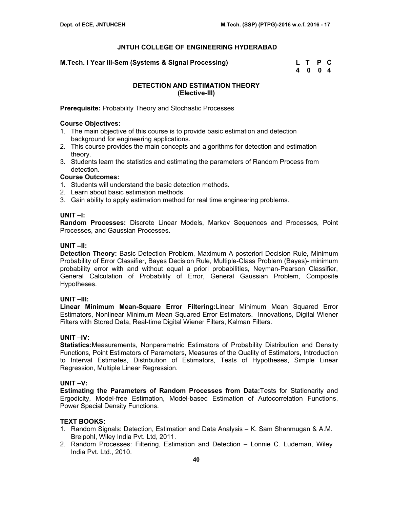**M.Tech. I Year III-Sem (Systems & Signal Processing)** 

| M.Tech. I Year III-Sem (Systems & Signal Processing) | L T P C |  |
|------------------------------------------------------|---------|--|
|                                                      | 4 0 0 4 |  |

## **DETECTION AND ESTIMATION THEORY (Elective-III)**

**Prerequisite:** Probability Theory and Stochastic Processes

### **Course Objectives:**

- 1. The main objective of this course is to provide basic estimation and detection background for engineering applications.
- 2. This course provides the main concepts and algorithms for detection and estimation theory.
- 3. Students learn the statistics and estimating the parameters of Random Process from detection.

# **Course Outcomes:**

- 1. Students will understand the basic detection methods.
- 2. Learn about basic estimation methods.
- 3. Gain ability to apply estimation method for real time engineering problems.

## **UNIT –I:**

**Random Processes:** Discrete Linear Models, Markov Sequences and Processes, Point Processes, and Gaussian Processes.

## **UNIT –II:**

**Detection Theory:** Basic Detection Problem, Maximum A posteriori Decision Rule, Minimum Probability of Error Classifier, Bayes Decision Rule, Multiple-Class Problem (Bayes)- minimum probability error with and without equal a priori probabilities, Neyman-Pearson Classifier, General Calculation of Probability of Error, General Gaussian Problem, Composite Hypotheses.

#### **UNIT –III:**

**Linear Minimum Mean-Square Error Filtering:**Linear Minimum Mean Squared Error Estimators, Nonlinear Minimum Mean Squared Error Estimators. Innovations, Digital Wiener Filters with Stored Data, Real-time Digital Wiener Filters, Kalman Filters.

# **UNIT –IV:**

**Statistics:**Measurements, Nonparametric Estimators of Probability Distribution and Density Functions, Point Estimators of Parameters, Measures of the Quality of Estimators, Introduction to Interval Estimates, Distribution of Estimators, Tests of Hypotheses, Simple Linear Regression, Multiple Linear Regression.

#### **UNIT –V:**

**Estimating the Parameters of Random Processes from Data:**Tests for Stationarity and Ergodicity, Model-free Estimation, Model-based Estimation of Autocorrelation Functions, Power Special Density Functions.

# **TEXT BOOKS:**

- 1. Random Signals: Detection, Estimation and Data Analysis K. Sam Shanmugan & A.M. Breipohl, Wiley India Pvt. Ltd, 2011.
- 2. Random Processes: Filtering, Estimation and Detection Lonnie C. Ludeman, Wiley India Pvt. Ltd., 2010.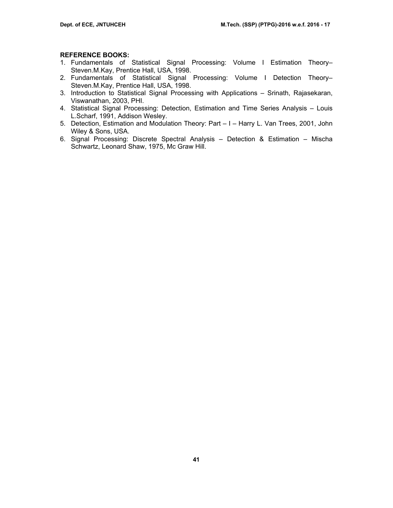- 1. Fundamentals of Statistical Signal Processing: Volume I Estimation Theory– Steven.M.Kay, Prentice Hall, USA, 1998.
- 2. Fundamentals of Statistical Signal Processing: Volume I Detection Theory– Steven.M.Kay, Prentice Hall, USA, 1998.
- 3. Introduction to Statistical Signal Processing with Applications Srinath, Rajasekaran, Viswanathan, 2003, PHI.
- 4. Statistical Signal Processing: Detection, Estimation and Time Series Analysis Louis L.Scharf, 1991, Addison Wesley.
- 5. Detection, Estimation and Modulation Theory: Part I Harry L. Van Trees, 2001, John Wiley & Sons, USA.
- 6. Signal Processing: Discrete Spectral Analysis Detection & Estimation Mischa Schwartz, Leonard Shaw, 1975, Mc Graw Hill.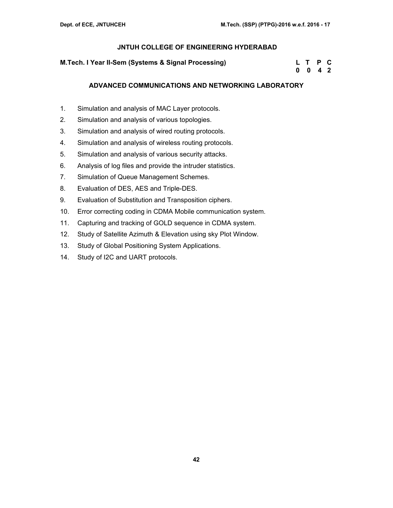| M. Tech. I Year II-Sem (Systems & Signal Processing) | L T P C |  |
|------------------------------------------------------|---------|--|
|                                                      | 0 0 4 2 |  |

## **ADVANCED COMMUNICATIONS AND NETWORKING LABORATORY**

- 1. Simulation and analysis of MAC Layer protocols.
- 2. Simulation and analysis of various topologies.
- 3. Simulation and analysis of wired routing protocols.
- 4. Simulation and analysis of wireless routing protocols.
- 5. Simulation and analysis of various security attacks.
- 6. Analysis of log files and provide the intruder statistics.
- 7. Simulation of Queue Management Schemes.
- 8. Evaluation of DES, AES and Triple-DES.
- 9. Evaluation of Substitution and Transposition ciphers.
- 10. Error correcting coding in CDMA Mobile communication system.
- 11. Capturing and tracking of GOLD sequence in CDMA system.
- 12. Study of Satellite Azimuth & Elevation using sky Plot Window.
- 13. Study of Global Positioning System Applications.
- 14. Study of I2C and UART protocols.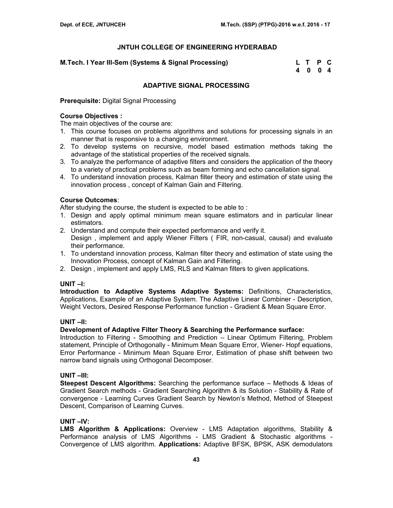| M.Tech. I Year III-Sem (Systems & Signal Processing) | L T P C |  |
|------------------------------------------------------|---------|--|
|                                                      | 4 0 0 4 |  |

## **ADAPTIVE SIGNAL PROCESSING**

**Prerequisite:** Digital Signal Processing

## **Course Objectives :**

The main objectives of the course are:

- 1. This course focuses on problems algorithms and solutions for processing signals in an manner that is responsive to a changing environment.
- 2. To develop systems on recursive, model based estimation methods taking the advantage of the statistical properties of the received signals.
- 3. To analyze the performance of adaptive filters and considers the application of the theory to a variety of practical problems such as beam forming and echo cancellation signal.
- 4. To understand innovation process, Kalman filter theory and estimation of state using the innovation process , concept of Kalman Gain and Filtering.

# **Course Outcomes**:

After studying the course, the student is expected to be able to:

- 1. Design and apply optimal minimum mean square estimators and in particular linear estimators.
- 2. Understand and compute their expected performance and verify it. Design , implement and apply Wiener Filters ( FIR, non-casual, causal) and evaluate their performance.
- 1. To understand innovation process, Kalman filter theory and estimation of state using the Innovation Process, concept of Kalman Gain and Filtering.
- 2. Design , implement and apply LMS, RLS and Kalman filters to given applications.

# **UNIT –I:**

**Introduction to Adaptive Systems Adaptive Systems:** Definitions, Characteristics, Applications, Example of an Adaptive System. The Adaptive Linear Combiner - Description, Weight Vectors, Desired Response Performance function - Gradient & Mean Square Error.

#### **UNIT –II:**

#### **Development of Adaptive Filter Theory & Searching the Performance surface:**

Introduction to Filtering - Smoothing and Prediction – Linear Optimum Filtering, Problem statement, Principle of Orthogonally - Minimum Mean Square Error, Wiener- Hopf equations, Error Performance - Minimum Mean Square Error, Estimation of phase shift between two narrow band signals using Orthogonal Decomposer.

#### **UNIT –III:**

**Steepest Descent Algorithms:** Searching the performance surface – Methods & Ideas of Gradient Search methods - Gradient Searching Algorithm & its Solution - Stability & Rate of convergence - Learning Curves Gradient Search by Newton's Method, Method of Steepest Descent, Comparison of Learning Curves.

#### **UNIT –IV:**

**LMS Algorithm & Applications:** Overview - LMS Adaptation algorithms, Stability & Performance analysis of LMS Algorithms - LMS Gradient & Stochastic algorithms - Convergence of LMS algorithm. **Applications:** Adaptive BFSK, BPSK, ASK demodulators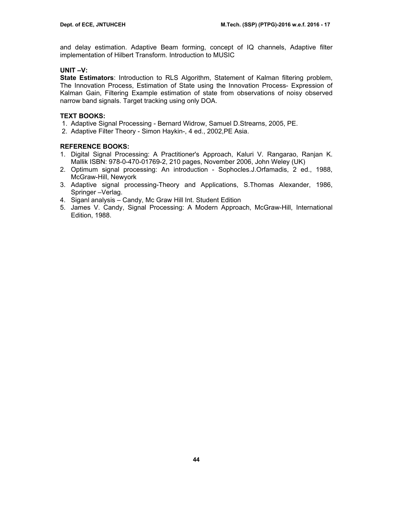and delay estimation. Adaptive Beam forming, concept of IQ channels, Adaptive filter implementation of Hilbert Transform. Introduction to MUSIC

## **UNIT –V:**

**State Estimators**: Introduction to RLS Algorithm, Statement of Kalman filtering problem, The Innovation Process, Estimation of State using the Innovation Process- Expression of Kalman Gain, Filtering Example estimation of state from observations of noisy observed narrow band signals. Target tracking using only DOA.

# **TEXT BOOKS:**

- 1. Adaptive Signal Processing Bernard Widrow, Samuel D.Strearns, 2005, PE.
- 2. Adaptive Filter Theory Simon Haykin-, 4 ed., 2002,PE Asia.

- 1. Digital Signal Processing: A Practitioner's Approach, Kaluri V. Rangarao, Ranjan K. Mallik ISBN: 978-0-470-01769-2, 210 pages, November 2006, John Weley (UK)
- 2. Optimum signal processing: An introduction Sophocles.J.Orfamadis, 2 ed., 1988, McGraw-Hill, Newyork
- 3. Adaptive signal processing-Theory and Applications, S.Thomas Alexander, 1986, Springer –Verlag.
- 4. Siganl analysis Candy, Mc Graw Hill Int. Student Edition
- 5. James V. Candy, Signal Processing: A Modern Approach, McGraw-Hill, International Edition, 1988.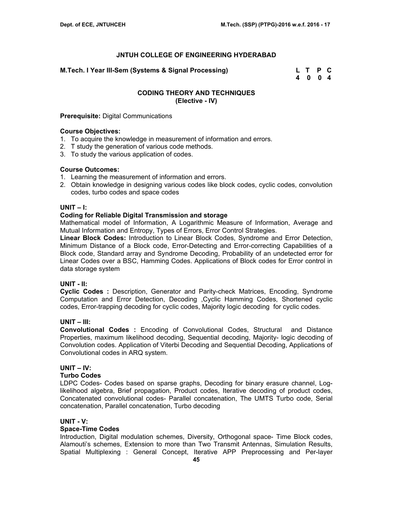**M.Tech. I Year III-Sem (Systems & Signal Processing) L T P C** 

 **4 0 0 4** 

# **CODING THEORY AND TECHNIQUES (Elective - IV)**

#### **Prerequisite:** Digital Communications

#### **Course Objectives:**

- 1. To acquire the knowledge in measurement of information and errors.
- 2. T study the generation of various code methods.
- 3. To study the various application of codes.

#### **Course Outcomes:**

- 1. Learning the measurement of information and errors.
- 2. Obtain knowledge in designing various codes like block codes, cyclic codes, convolution codes, turbo codes and space codes

#### **UNIT – I:**

## **Coding for Reliable Digital Transmission and storage**

Mathematical model of Information, A Logarithmic Measure of Information, Average and Mutual Information and Entropy, Types of Errors, Error Control Strategies.

**Linear Block Codes:** Introduction to Linear Block Codes, Syndrome and Error Detection, Minimum Distance of a Block code, Error-Detecting and Error-correcting Capabilities of a Block code, Standard array and Syndrome Decoding, Probability of an undetected error for Linear Codes over a BSC, Hamming Codes. Applications of Block codes for Error control in data storage system

#### **UNIT - II:**

**Cyclic Codes :** Description, Generator and Parity-check Matrices, Encoding, Syndrome Computation and Error Detection, Decoding ,Cyclic Hamming Codes, Shortened cyclic codes, Error-trapping decoding for cyclic codes, Majority logic decoding for cyclic codes.

#### **UNIT – III:**

**Convolutional Codes :** Encoding of Convolutional Codes, Structural and Distance Properties, maximum likelihood decoding, Sequential decoding, Majority- logic decoding of Convolution codes. Application of Viterbi Decoding and Sequential Decoding, Applications of Convolutional codes in ARQ system.

# **UNIT – IV:**

#### **Turbo Codes**

LDPC Codes- Codes based on sparse graphs, Decoding for binary erasure channel, Loglikelihood algebra, Brief propagation, Product codes, Iterative decoding of product codes, Concatenated convolutional codes- Parallel concatenation, The UMTS Turbo code, Serial concatenation, Parallel concatenation, Turbo decoding

#### **UNIT - V:**

#### **Space-Time Codes**

Introduction, Digital modulation schemes, Diversity, Orthogonal space- Time Block codes, Alamouti's schemes, Extension to more than Two Transmit Antennas, Simulation Results, Spatial Multiplexing : General Concept, Iterative APP Preprocessing and Per-layer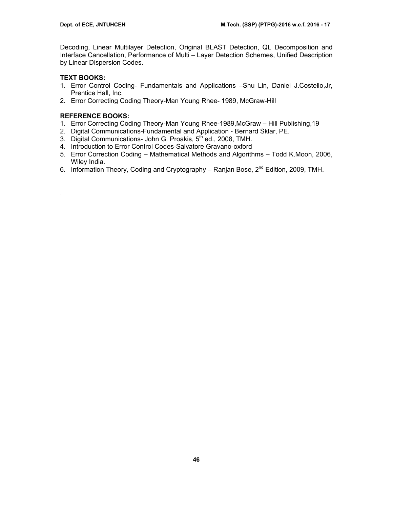Decoding, Linear Multilayer Detection, Original BLAST Detection, QL Decomposition and Interface Cancellation, Performance of Multi – Layer Detection Schemes, Unified Description by Linear Dispersion Codes.

# **TEXT BOOKS:**

.

- 1. Error Control Coding- Fundamentals and Applications –Shu Lin, Daniel J.Costello,Jr, Prentice Hall, Inc.
- 2. Error Correcting Coding Theory-Man Young Rhee- 1989, McGraw-Hill

- 1. Error Correcting Coding Theory-Man Young Rhee-1989,McGraw Hill Publishing,19
- 2. Digital Communications-Fundamental and Application Bernard Sklar, PE.
- 3. Digital Communications- John G. Proakis, 5th ed., 2008, TMH.
- 4. Introduction to Error Control Codes-Salvatore Gravano-oxford
- 5. Error Correction Coding Mathematical Methods and Algorithms Todd K.Moon, 2006, Wiley India.
- 6. Information Theory, Coding and Cryptography Ranjan Bose, 2<sup>nd</sup> Edition, 2009, TMH.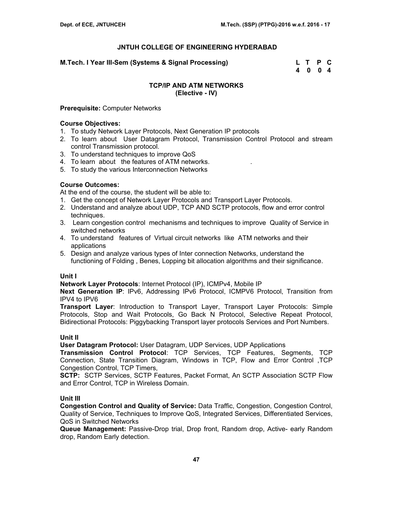**M.Tech. I Year III-Sem (Systems & Signal Processing) L T P C** 

 **4 0 0 4** 

## **TCP/IP AND ATM NETWORKS (Elective - IV)**

### **Prerequisite:** Computer Networks

#### **Course Objectives:**

- 1. To study Network Layer Protocols, Next Generation IP protocols
- 2. To learn about User Datagram Protocol, Transmission Control Protocol and stream control Transmission protocol.
- 3. To understand techniques to improve QoS
- 4. To learn about the features of ATM networks. .
- 5. To study the various Interconnection Networks

# **Course Outcomes:**

At the end of the course, the student will be able to:

- 1. Get the concept of Network Layer Protocols and Transport Layer Protocols.
- 2. Understand and analyze about UDP, TCP AND SCTP protocols, flow and error control techniques.
- 3. Learn congestion control mechanisms and techniques to improve Quality of Service in switched networks
- 4. To understand features of Virtual circuit networks like ATM networks and their applications
- 5. Design and analyze various types of Inter connection Networks, understand the functioning of Folding , Benes, Lopping bit allocation algorithms and their significance.

#### **Unit I**

**Network Layer Protocols**: Internet Protocol (IP), ICMPv4, Mobile IP

**Next Generation IP**: IPv6, Addressing IPv6 Protocol, ICMPV6 Protocol, Transition from IPV4 to IPV6

**Transport Layer**: Introduction to Transport Layer, Transport Layer Protocols: Simple Protocols, Stop and Wait Protocols, Go Back N Protocol, Selective Repeat Protocol, Bidirectional Protocols: Piggybacking Transport layer protocols Services and Port Numbers.

#### **Unit II**

**User Datagram Protocol:** User Datagram, UDP Services, UDP Applications

**Transmission Control Protocol**: TCP Services, TCP Features, Segments, TCP Connection, State Transition Diagram, Windows in TCP, Flow and Error Control ,TCP Congestion Control, TCP Timers,

**SCTP:** SCTP Services, SCTP Features, Packet Format, An SCTP Association SCTP Flow and Error Control, TCP in Wireless Domain.

# **Unit III**

**Congestion Control and Quality of Service:** Data Traffic, Congestion, Congestion Control, Quality of Service, Techniques to Improve QoS, Integrated Services, Differentiated Services, QoS in Switched Networks

**Queue Management:** Passive-Drop trial, Drop front, Random drop, Active- early Random drop, Random Early detection.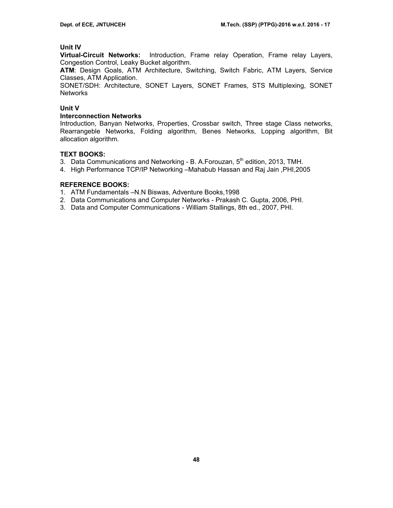## **Unit IV**

**Virtual-Circuit Networks:** Introduction, Frame relay Operation, Frame relay Layers, Congestion Control, Leaky Bucket algorithm.

**ATM**: Design Goals, ATM Architecture, Switching, Switch Fabric, ATM Layers, Service Classes, ATM Application.

SONET/SDH: Architecture, SONET Layers, SONET Frames, STS Multiplexing, SONET **Networks** 

#### **Unit V**

#### **Interconnection Networks**

Introduction, Banyan Networks, Properties, Crossbar switch, Three stage Class networks, Rearrangeble Networks, Folding algorithm, Benes Networks, Lopping algorithm, Bit allocation algorithm.

#### **TEXT BOOKS:**

- 3. Data Communications and Networking B. A. Forouzan,  $5<sup>th</sup>$  edition, 2013, TMH.
- 4. High Performance TCP/IP Networking –Mahabub Hassan and Raj Jain ,PHI,2005

- 1. ATM Fundamentals –N.N Biswas, Adventure Books,1998
- 2. Data Communications and Computer Networks Prakash C. Gupta, 2006, PHI.
- 3. Data and Computer Communications William Stallings, 8th ed., 2007, PHI.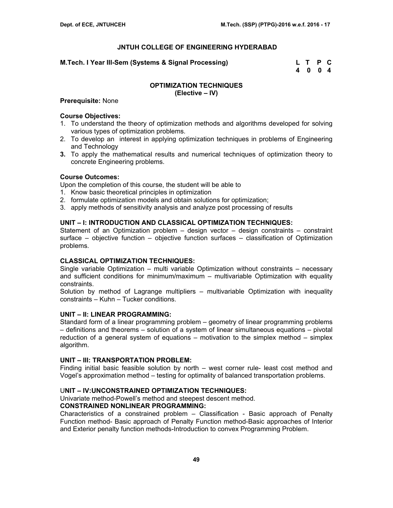**M.Tech. I Year III-Sem (Systems & Signal Processing) L T P C** 

 **4 0 0 4** 

#### **OPTIMIZATION TECHNIQUES (Elective – IV)**

#### **Prerequisite:** None

#### **Course Objectives:**

- 1. To understand the theory of optimization methods and algorithms developed for solving various types of optimization problems.
- 2. To develop an interest in applying optimization techniques in problems of Engineering and Technology
- **3.** To apply the mathematical results and numerical techniques of optimization theory to concrete Engineering problems.

#### **Course Outcomes:**

Upon the completion of this course, the student will be able to

- 1. Know basic theoretical principles in optimization
- 2. formulate optimization models and obtain solutions for optimization;
- 3. apply methods of sensitivity analysis and analyze post processing of results

### **UNIT – I: INTRODUCTION AND CLASSICAL OPTIMIZATION TECHNIQUES:**

Statement of an Optimization problem – design vector – design constraints – constraint surface – objective function – objective function surfaces – classification of Optimization problems.

#### **CLASSICAL OPTIMIZATION TECHNIQUES:**

Single variable Optimization – multi variable Optimization without constraints – necessary and sufficient conditions for minimum/maximum – multivariable Optimization with equality constraints.

Solution by method of Lagrange multipliers – multivariable Optimization with inequality constraints – Kuhn – Tucker conditions.

#### **UNIT – II: LINEAR PROGRAMMING:**

Standard form of a linear programming problem – geometry of linear programming problems – definitions and theorems – solution of a system of linear simultaneous equations – pivotal reduction of a general system of equations – motivation to the simplex method – simplex algorithm.

#### **UNIT – III: TRANSPORTATION PROBLEM:**

Finding initial basic feasible solution by north – west corner rule- least cost method and Vogel's approximation method – testing for optimality of balanced transportation problems.

#### U**NIT – IV:UNCONSTRAINED OPTIMIZATION TECHNIQUES:**

Univariate method-Powell's method and steepest descent method.

#### **CONSTRAINED NONLINEAR PROGRAMMING:**

Characteristics of a constrained problem – Classification - Basic approach of Penalty Function method- Basic approach of Penalty Function method-Basic approaches of Interior and Exterior penalty function methods-Introduction to convex Programming Problem.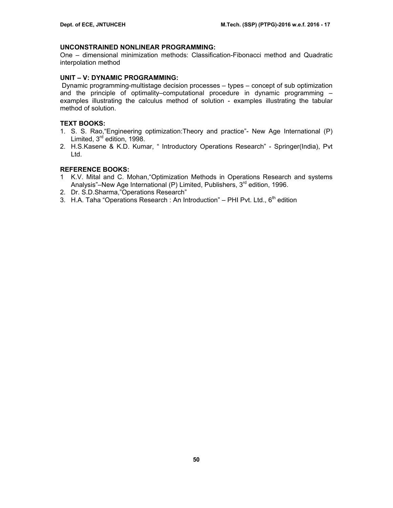### **UNCONSTRAINED NONLINEAR PROGRAMMING:**

One – dimensional minimization methods: Classification-Fibonacci method and Quadratic interpolation method

## **UNIT – V: DYNAMIC PROGRAMMING:**

 Dynamic programming-multistage decision processes – types – concept of sub optimization and the principle of optimality–computational procedure in dynamic programming – examples illustrating the calculus method of solution - examples illustrating the tabular method of solution.

### **TEXT BOOKS:**

- 1. S. S. Rao,"Engineering optimization:Theory and practice"- New Age International (P) Limited, 3<sup>rd</sup> edition, 1998.
- 2. H.S.Kasene & K.D. Kumar, " Introductory Operations Research" Springer(India), Pvt Ltd.

- 1 K.V. Mital and C. Mohan,"Optimization Methods in Operations Research and systems Analysis"–New Age International (P) Limited, Publishers,  $3<sup>rd</sup>$  edition, 1996.
- 2. Dr. S.D.Sharma,"Operations Research"
- 3. H.A. Taha "Operations Research : An Introduction" PHI Pvt. Ltd.,  $6<sup>th</sup>$  edition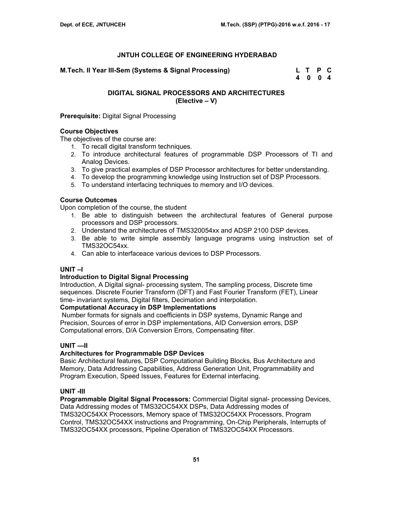**M.Tech. II Year III-Sem (Systems & Signal Processing) L T P C** 

 **4 0 0 4** 

# **DIGITAL SIGNAL PROCESSORS AND ARCHITECTURES (Elective – V)**

## **Prerequisite:** Digital Signal Processing

## **Course Objectives**

The objectives of the course are:

- 1. To recall digital transform techniques.
- 2. To introduce architectural features of programmable DSP Processors of TI and Analog Devices.
- 3. To give practical examples of DSP Processor architectures for better understanding.
- 4. To develop the programming knowledge using Instruction set of DSP Processors.
- 5. To understand interfacing techniques to memory and I/O devices.

# **Course Outcomes**

Upon completion of the course, the student

- 1. Be able to distinguish between the architectural features of General purpose processors and DSP processors.
- 2. Understand the architectures of TMS320054xx and ADSP 2100 DSP devices.
- 3. Be able to write simple assembly language programs using instruction set of TMS32OC54xx.
- 4. Can able to interfaceace various devices to DSP Processors.

#### **UNIT –I**

#### **Introduction to Digital Signal Processing**

Introduction, A Digital signal- processing system, The sampling process, Discrete time sequences. Discrete Fourier Transform (DFT) and Fast Fourier Transform (FET), Linear time- invariant systems, Digital filters, Decimation and interpolation.

## **Computational Accuracy in DSP Implementations**

 Number formats for signals and coefficients in DSP systems, Dynamic Range and Precision, Sources of error in DSP implementations, AID Conversion errors, DSP Computational errors, D/A Conversion Errors, Compensating filter.

#### **UNIT —II**

#### **Architectures for Programmable DSP Devices**

Basic Architectural features, DSP Computational Building Blocks, Bus Architecture and Memory, Data Addressing Capabilities, Address Generation Unit, Programmability and Program Execution, Speed Issues, Features for External interfacing.

#### **UNIT -III**

**Programmable Digital Signal Processors:** Commercial Digital signal- processing Devices, Data Addressing modes of TMS32OC54XX DSPs, Data Addressing modes of TMS32OC54XX Processors, Memory space of TMS32OC54XX Processors, Program Control, TMS32OC54XX instructions and Programming, On-Chip Peripherals, Interrupts of TMS32OC54XX processors, Pipeline Operation of TMS32OC54XX Processors.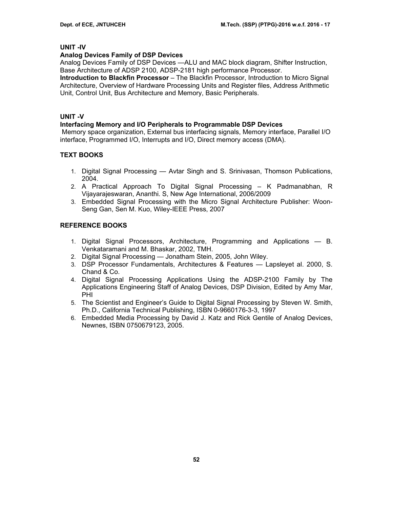# **UNIT -IV**

## **Analog Devices Family of DSP Devices**

Analog Devices Family of DSP Devices —ALU and MAC block diagram, Shifter Instruction, Base Architecture of ADSP 2100, ADSP-2181 high performance Processor.

**Introduction to Blackfin Processor** – The Blackfin Processor, Introduction to Micro Signal Architecture, Overview of Hardware Processing Units and Register files, Address Arithmetic Unit, Control Unit, Bus Architecture and Memory, Basic Peripherals.

# **UNIT -V**

#### **Interfacing Memory and I/O Peripherals to Programmable DSP Devices**

 Memory space organization, External bus interfacing signals, Memory interface, Parallel I/O interface, Programmed I/O, Interrupts and I/O, Direct memory access (DMA).

# **TEXT BOOKS**

- 1. Digital Signal Processing Avtar Singh and S. Srinivasan, Thomson Publications, 2004.
- 2. A Practical Approach To Digital Signal Processing K Padmanabhan, R Vijayarajeswaran, Ananthi. S, New Age International, 2006/2009
- 3. Embedded Signal Processing with the Micro Signal Architecture Publisher: Woon-Seng Gan, Sen M. Kuo, Wiley-IEEE Press, 2007

- 1. Digital Signal Processors, Architecture, Programming and Applications B. Venkataramani and M. Bhaskar, 2002, TMH.
- 2. Digital Signal Processing Jonatham Stein, 2005, John Wiley.
- 3. DSP Processor Fundamentals, Architectures & Features Lapsleyet al. 2000, S. Chand & Co.
- 4. Digital Signal Processing Applications Using the ADSP-2100 Family by The Applications Engineering Staff of Analog Devices, DSP Division, Edited by Amy Mar, PHI
- 5. The Scientist and Engineer's Guide to Digital Signal Processing by Steven W. Smith, Ph.D., California Technical Publishing, ISBN 0-9660176-3-3, 1997
- 6. Embedded Media Processing by David J. Katz and Rick Gentile of Analog Devices, Newnes, ISBN 0750679123, 2005.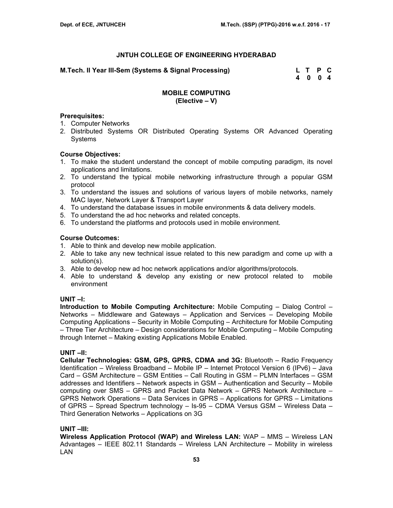**M.Tech. II Year III-Sem (Systems & Signal Processing) L T P C** 

 **4 0 0 4** 

# **MOBILE COMPUTING (Elective – V)**

## **Prerequisites:**

- 1. Computer Networks
- 2. Distributed Systems OR Distributed Operating Systems OR Advanced Operating Systems

## **Course Objectives:**

- 1. To make the student understand the concept of mobile computing paradigm, its novel applications and limitations.
- 2. To understand the typical mobile networking infrastructure through a popular GSM protocol
- 3. To understand the issues and solutions of various layers of mobile networks, namely MAC layer, Network Layer & Transport Layer
- 4. To understand the database issues in mobile environments & data delivery models.
- 5. To understand the ad hoc networks and related concepts.
- 6. To understand the platforms and protocols used in mobile environment.

## **Course Outcomes:**

- 1. Able to think and develop new mobile application.
- 2. Able to take any new technical issue related to this new paradigm and come up with a solution(s).
- 3. Able to develop new ad hoc network applications and/or algorithms/protocols.
- 4. Able to understand & develop any existing or new protocol related to mobile environment

#### **UNIT –I:**

**Introduction to Mobile Computing Architecture:** Mobile Computing – Dialog Control – Networks – Middleware and Gateways – Application and Services – Developing Mobile Computing Applications – Security in Mobile Computing – Architecture for Mobile Computing – Three Tier Architecture – Design considerations for Mobile Computing – Mobile Computing through Internet – Making existing Applications Mobile Enabled.

#### **UNIT –II:**

**Cellular Technologies: GSM, GPS, GPRS, CDMA and 3G:** Bluetooth – Radio Frequency Identification – Wireless Broadband – Mobile IP – Internet Protocol Version 6 (IPv6) – Java Card – GSM Architecture – GSM Entities – Call Routing in GSM – PLMN Interfaces – GSM addresses and Identifiers – Network aspects in GSM – Authentication and Security – Mobile computing over SMS – GPRS and Packet Data Network – GPRS Network Architecture – GPRS Network Operations – Data Services in GPRS – Applications for GPRS – Limitations of GPRS – Spread Spectrum technology – Is-95 – CDMA Versus GSM – Wireless Data – Third Generation Networks – Applications on 3G

#### **UNIT –III:**

**Wireless Application Protocol (WAP) and Wireless LAN:** WAP – MMS – Wireless LAN Advantages – IEEE 802.11 Standards – Wireless LAN Architecture – Mobility in wireless LAN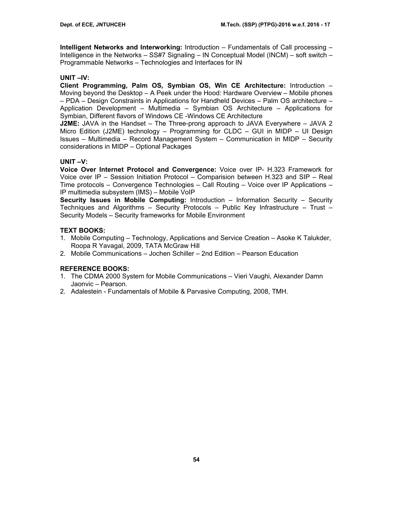**Intelligent Networks and Interworking:** Introduction – Fundamentals of Call processing – Intelligence in the Networks – SS#7 Signaling – IN Conceptual Model (INCM) – soft switch – Programmable Networks – Technologies and Interfaces for IN

## **UNIT –IV:**

**Client Programming, Palm OS, Symbian OS, Win CE Architecture:** Introduction – Moving beyond the Desktop – A Peek under the Hood: Hardware Overview – Mobile phones – PDA – Design Constraints in Applications for Handheld Devices – Palm OS architecture – Application Development – Multimedia – Symbian OS Architecture – Applications for Symbian, Different flavors of Windows CE -Windows CE Architecture

**J2ME:** JAVA in the Handset – The Three-prong approach to JAVA Everywhere – JAVA 2 Micro Edition (J2ME) technology – Programming for CLDC – GUI in MIDP – UI Design Issues – Multimedia – Record Management System – Communication in MIDP – Security considerations in MIDP – Optional Packages

# **UNIT –V:**

**Voice Over Internet Protocol and Convergence:** Voice over IP- H.323 Framework for Voice over IP – Session Initiation Protocol – Comparision between H.323 and SIP – Real Time protocols – Convergence Technologies – Call Routing – Voice over IP Applications – IP multimedia subsystem (IMS) – Mobile VoIP

**Security Issues in Mobile Computing:** Introduction – Information Security – Security Techniques and Algorithms – Security Protocols – Public Key Infrastructure – Trust – Security Models – Security frameworks for Mobile Environment

# **TEXT BOOKS:**

- 1. Mobile Computing Technology, Applications and Service Creation Asoke K Talukder, Roopa R Yavagal, 2009, TATA McGraw Hill
- 2. Mobile Communications Jochen Schiller 2nd Edition Pearson Education

- 1. The CDMA 2000 System for Mobile Communications Vieri Vaughi, Alexander Damn Jaonvic – Pearson.
- 2. Adalestein Fundamentals of Mobile & Parvasive Computing, 2008, TMH.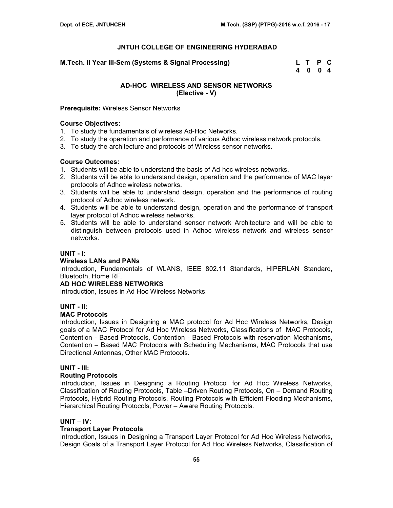**M.Tech. II Year III-Sem (Systems & Signal Processing) L T P C** 

 **4 0 0 4** 

## **AD-HOC WIRELESS AND SENSOR NETWORKS (Elective - V)**

#### **Prerequisite:** Wireless Sensor Networks

#### **Course Objectives:**

- 1. To study the fundamentals of wireless Ad-Hoc Networks.
- 2. To study the operation and performance of various Adhoc wireless network protocols.
- 3. To study the architecture and protocols of Wireless sensor networks.

#### **Course Outcomes:**

- 1. Students will be able to understand the basis of Ad-hoc wireless networks.
- 2. Students will be able to understand design, operation and the performance of MAC layer protocols of Adhoc wireless networks.
- 3. Students will be able to understand design, operation and the performance of routing protocol of Adhoc wireless network.
- 4. Students will be able to understand design, operation and the performance of transport layer protocol of Adhoc wireless networks.
- 5. Students will be able to understand sensor network Architecture and will be able to distinguish between protocols used in Adhoc wireless network and wireless sensor networks.

### **UNIT - I:**

#### **Wireless LANs and PANs**

Introduction, Fundamentals of WLANS, IEEE 802.11 Standards, HIPERLAN Standard, Bluetooth, Home RF.

#### **AD HOC WIRELESS NETWORKS**

Introduction, Issues in Ad Hoc Wireless Networks.

#### **UNIT - II:**

#### **MAC Protocols**

Introduction, Issues in Designing a MAC protocol for Ad Hoc Wireless Networks, Design goals of a MAC Protocol for Ad Hoc Wireless Networks, Classifications of MAC Protocols, Contention - Based Protocols, Contention - Based Protocols with reservation Mechanisms, Contention – Based MAC Protocols with Scheduling Mechanisms, MAC Protocols that use Directional Antennas, Other MAC Protocols.

## **UNIT - III:**

#### **Routing Protocols**

Introduction, Issues in Designing a Routing Protocol for Ad Hoc Wireless Networks, Classification of Routing Protocols, Table –Driven Routing Protocols, On – Demand Routing Protocols, Hybrid Routing Protocols, Routing Protocols with Efficient Flooding Mechanisms, Hierarchical Routing Protocols, Power – Aware Routing Protocols.

#### **UNIT – IV:**

#### **Transport Layer Protocols**

Introduction, Issues in Designing a Transport Layer Protocol for Ad Hoc Wireless Networks, Design Goals of a Transport Layer Protocol for Ad Hoc Wireless Networks, Classification of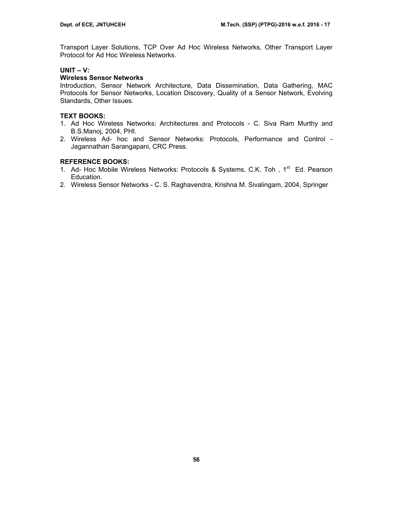Transport Layer Solutions, TCP Over Ad Hoc Wireless Networks, Other Transport Layer Protocol for Ad Hoc Wireless Networks.

## **UNIT – V:**

## **Wireless Sensor Networks**

Introduction, Sensor Network Architecture, Data Dissemination, Data Gathering, MAC Protocols for Sensor Networks, Location Discovery, Quality of a Sensor Network, Evolving Standards, Other Issues.

## **TEXT BOOKS:**

- 1. Ad Hoc Wireless Networks: Architectures and Protocols C. Siva Ram Murthy and B.S.Manoj, 2004, PHI.
- 2. Wireless Ad- hoc and Sensor Networks: Protocols, Performance and Control Jagannathan Sarangapani, CRC Press.

- 1. Ad- Hoc Mobile Wireless Networks: Protocols & Systems, C.K. Toh, 1<sup>st</sup> Ed. Pearson Education.
- 2. Wireless Sensor Networks C. S. Raghavendra, Krishna M. Sivalingam, 2004, Springer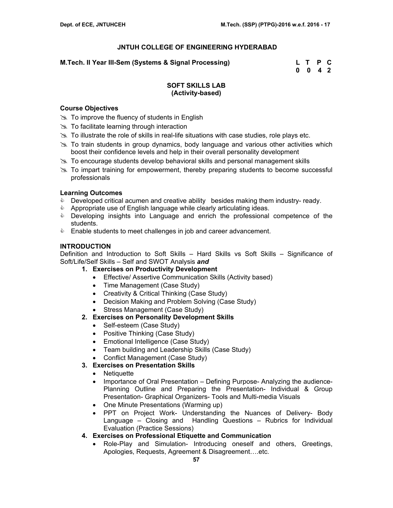**M.Tech. II Year III-Sem (Systems & Signal Processing) L T P C** 

 **0 0 4 2** 

## **SOFT SKILLS LAB (Activity-based)**

## **Course Objectives**

- $\gg$  To improve the fluency of students in English
- $\gg$  To facilitate learning through interaction
- $\gg$  To illustrate the role of skills in real-life situations with case studies, role plays etc.
- $\geq$  To train students in group dynamics, body language and various other activities which boost their confidence levels and help in their overall personality development
- $\geq$  To encourage students develop behavioral skills and personal management skills
- $\gg$  To impart training for empowerment, thereby preparing students to become successful professionals

## **Learning Outcomes**

- **Developed critical acumen and creative ability besides making them industry- ready.**
- **EXECT Appropriate use of English language while clearly articulating ideas.**
- **EXE** Developing insights into Language and enrich the professional competence of the students.
- **Enable students to meet challenges in job and career advancement.**

## **INTRODUCTION**

Definition and Introduction to Soft Skills – Hard Skills vs Soft Skills – Significance of Soft/Life/Self Skills – Self and SWOT Analysis *and*

- **1. Exercises on Productivity Development** 
	- Effective/ Assertive Communication Skills (Activity based)
	- Time Management (Case Study)
	- Creativity & Critical Thinking (Case Study)
	- Decision Making and Problem Solving (Case Study)
	- Stress Management (Case Study)

# **2. Exercises on Personality Development Skills**

- Self-esteem (Case Study)
- Positive Thinking (Case Study)
- Emotional Intelligence (Case Study)
- Team building and Leadership Skills (Case Study)
- Conflict Management (Case Study)
- **3. Exercises on Presentation Skills** 
	- Netiquette
	- Importance of Oral Presentation Defining Purpose- Analyzing the audience-Planning Outline and Preparing the Presentation- Individual & Group Presentation- Graphical Organizers- Tools and Multi-media Visuals
	- One Minute Presentations (Warming up)
	- PPT on Project Work- Understanding the Nuances of Delivery- Body Language – Closing and Handling Questions – Rubrics for Individual Evaluation (Practice Sessions)
- **4. Exercises on Professional Etiquette and Communication** 
	- Role-Play and Simulation- Introducing oneself and others, Greetings, Apologies, Requests, Agreement & Disagreement….etc.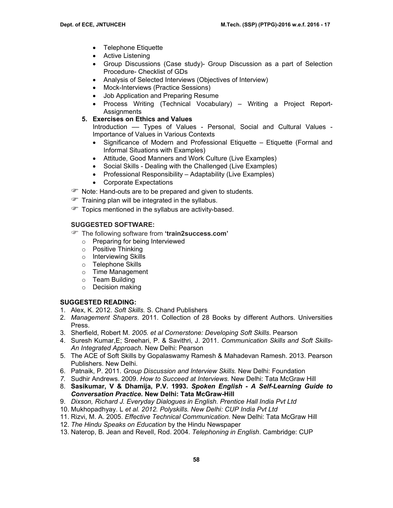- Telephone Etiquette
- Active Listening
- Group Discussions (Case study)- Group Discussion as a part of Selection Procedure- Checklist of GDs
- Analysis of Selected Interviews (Objectives of Interview)
- Mock-Interviews (Practice Sessions)
- Job Application and Preparing Resume
- Process Writing (Technical Vocabulary) Writing a Project Report-Assignments
- **5. Exercises on Ethics and Values**

Introduction –– Types of Values - Personal, Social and Cultural Values - Importance of Values in Various Contexts

- Significance of Modern and Professional Etiquette Etiquette (Formal and Informal Situations with Examples)
- Attitude, Good Manners and Work Culture (Live Examples)
- Social Skills Dealing with the Challenged (Live Examples)
- Professional Responsibility Adaptability (Live Examples)
- Corporate Expectations
- **P** Note: Hand-outs are to be prepared and given to students.
- $\mathcal{F}$  Training plan will be integrated in the syllabus.
- Topics mentioned in the syllabus are activity-based.

# **SUGGESTED SOFTWARE:**

- ) The following software from **'train2success.com'** 
	- o Preparing for being Interviewed
	- o Positive Thinking
	- o Interviewing Skills
	- o Telephone Skills
	- o Time Management
	- o Team Building
	- o Decision making

# **SUGGESTED READING:**

- 1. Alex, K. 2012. *Soft Skills.* S. Chand Publishers
- 2. *Management Shapers*. 2011. Collection of 28 Books by different Authors. Universities Press.
- 3. Sherfield, Robert M. *2005. et al Cornerstone: Developing Soft Skills*. Pearson
- 4. Suresh Kumar,E; Sreehari, P. & Savithri, J. 2011. *Communication Skills and Soft Skills-An Integrated Approach.* New Delhi: Pearson
- 5. The ACE of Soft Skills by Gopalaswamy Ramesh & Mahadevan Ramesh. 2013. Pearson Publishers. New Delhi.
- 6. Patnaik, P. 2011. *Group Discussion and Interview Skills.* New Delhi: Foundation
- *7.* Sudhir Andrews. 2009. *How to Succeed at Interviews.* New Delhi: Tata McGraw Hill
- 8. **Sasikumar, V & Dhamija, P.V. 1993.** *Spoken English A Self-Learning Guide to Conversation Practice.* **New Delhi: Tata McGraw-Hill**
- 9. *Dixson, Richard J. Everyday Dialogues in English. Prentice Hall India Pvt Ltd*
- 10. Mukhopadhyay. L *et al. 2012. Polyskills. New Delhi: CUP India Pvt Ltd*
- 11. Rizvi, M. A. 2005. *Effective Technical Communication.* New Delhi: Tata McGraw Hill
- 12. *The Hindu Speaks on Education* by the Hindu Newspaper
- 13. Naterop, B. Jean and Revell, Rod. 2004. *Telephoning in English*. Cambridge: CUP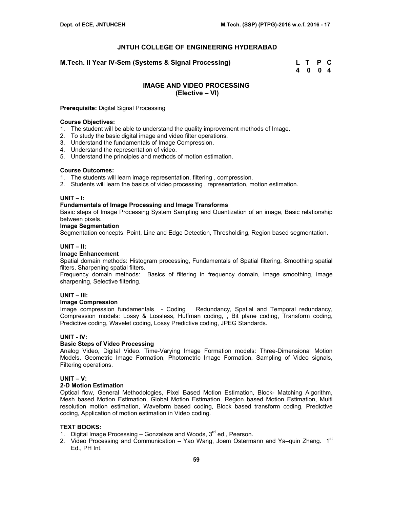**M.Tech. II Year IV-Sem (Systems & Signal Processing) L T P C** 

 **4 0 0 4** 

#### **IMAGE AND VIDEO PROCESSING (Elective – VI)**

#### **Prerequisite:** Digital Signal Processing

#### **Course Objectives:**

- 1. The student will be able to understand the quality improvement methods of Image.
- 2. To study the basic digital image and video filter operations.
- 3. Understand the fundamentals of Image Compression.
- 4. Understand the representation of video.
- 5. Understand the principles and methods of motion estimation.

#### **Course Outcomes:**

- 1. The students will learn image representation, filtering , compression.
- 2. Students will learn the basics of video processing , representation, motion estimation.

#### **UNIT – I:**

#### **Fundamentals of Image Processing and Image Transforms**

Basic steps of Image Processing System Sampling and Quantization of an image, Basic relationship between pixels.

#### **Image Segmentation**

Segmentation concepts, Point, Line and Edge Detection, Thresholding, Region based segmentation.

#### **UNIT – II:**

#### **Image Enhancement**

Spatial domain methods: Histogram processing, Fundamentals of Spatial filtering, Smoothing spatial filters, Sharpening spatial filters.

Frequency domain methods: Basics of filtering in frequency domain, image smoothing, image sharpening, Selective filtering.

#### **UNIT – III:**

#### **Image Compression**

Image compression fundamentals - Coding Redundancy, Spatial and Temporal redundancy, Compression models: Lossy & Lossless, Huffman coding, , Bit plane coding, Transform coding, Predictive coding, Wavelet coding, Lossy Predictive coding, JPEG Standards.

#### **UNIT - IV:**

#### **Basic Steps of Video Processing**

Analog Video, Digital Video. Time-Varying Image Formation models: Three-Dimensional Motion Models, Geometric Image Formation, Photometric Image Formation, Sampling of Video signals, Filtering operations.

#### **UNIT – V:**

## **2-D Motion Estimation**

Optical flow, General Methodologies, Pixel Based Motion Estimation, Block- Matching Algorithm, Mesh based Motion Estimation, Global Motion Estimation, Region based Motion Estimation, Multi resolution motion estimation, Waveform based coding, Block based transform coding, Predictive coding, Application of motion estimation in Video coding.

#### **TEXT BOOKS:**

- 1. Digital Image Processing  $-$  Gonzaleze and Woods,  $3<sup>rd</sup>$  ed., Pearson.
- 2. Video Processing and Communication Yao Wang, Joem Ostermann and Ya–quin Zhang.  $1^{st}$ Ed., PH Int.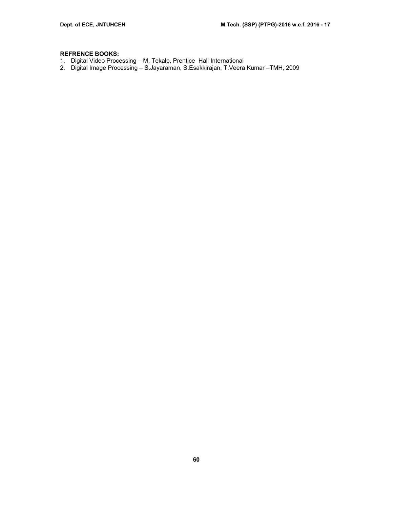- 1. Digital Video Processing M. Tekalp, Prentice Hall International
- 2. Digital Image Processing S.Jayaraman, S.Esakkirajan, T.Veera Kumar –TMH, 2009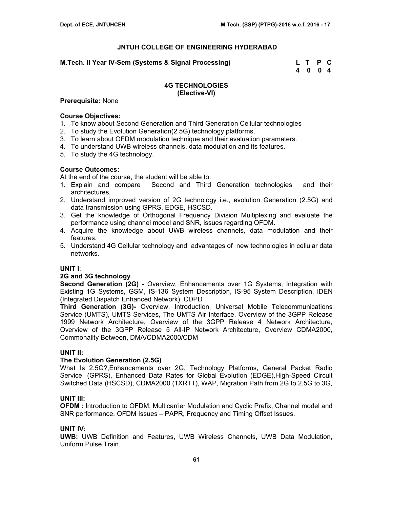#### **M.Tech. II Year IV-Sem (Systems & Signal Processing) Letting Linux Control Control Control Control Control Control Control Control Control Control Control Control Control Control Control Control Control Control Control Co**

 **4 0 0 4** 

## **4G TECHNOLOGIES (Elective-VI)**

#### **Prerequisite:** None

### **Course Objectives:**

- 1. To know about Second Generation and Third Generation Cellular technologies
- 2. To study the Evolution Generation(2.5G) technology platforms,
- 3. To learn about OFDM modulation technique and their evaluation parameters.
- 4. To understand UWB wireless channels, data modulation and its features.
- 5. To study the 4G technology.

#### **Course Outcomes:**

At the end of the course, the student will be able to:

- 1. Explain and compare Second and Third Generation technologies and their architectures.
- 2. Understand improved version of 2G technology i.e., evolution Generation (2.5G) and data transmission using GPRS, EDGE, HSCSD.
- 3. Get the knowledge of Orthogonal Frequency Division Multiplexing and evaluate the performance using channel model and SNR, issues regarding OFDM.
- 4. Acquire the knowledge about UWB wireless channels, data modulation and their features.
- 5. Understand 4G Cellular technology and advantages of new technologies in cellular data networks.

#### **UNIT I**:

#### **2G and 3G technology**

**Second Generation (2G)** - Overview, Enhancements over 1G Systems, Integration with Existing 1G Systems, GSM, IS-136 System Description, IS-95 System Description, iDEN (Integrated Dispatch Enhanced Network), CDPD

**Third Generation (3G)-** Overview, Introduction, Universal Mobile Telecommunications Service (UMTS), UMTS Services, The UMTS Air Interface, Overview of the 3GPP Release 1999 Network Architecture, Overview of the 3GPP Release 4 Network Architecture, Overview of the 3GPP Release 5 All-IP Network Architecture, Overview CDMA2000, Commonality Between, DMA/CDMA2000/CDM

#### **UNIT II:**

#### **The Evolution Generation (2.5G)**

What Is 2.5G?,Enhancements over 2G, Technology Platforms, General Packet Radio Service, (GPRS), Enhanced Data Rates for Global Evolution (EDGE),High-Speed Circuit Switched Data (HSCSD), CDMA2000 (1XRTT), WAP, Migration Path from 2G to 2.5G to 3G,

## **UNIT III:**

**OFDM** : Introduction to OFDM, Multicarrier Modulation and Cyclic Prefix, Channel model and SNR performance, OFDM Issues – PAPR, Frequency and Timing Offset Issues.

#### **UNIT IV:**

**UWB:** UWB Definition and Features, UWB Wireless Channels, UWB Data Modulation, Uniform Pulse Train.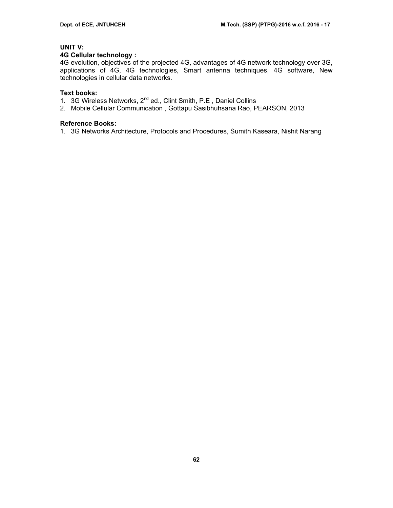# **UNIT V:**

#### **4G Cellular technology :**

4G evolution, objectives of the projected 4G, advantages of 4G network technology over 3G, applications of 4G, 4G technologies, Smart antenna techniques, 4G software, New technologies in cellular data networks.

### **Text books:**

- 1. 3G Wireless Networks, 2<sup>nd</sup> ed., Clint Smith, P.E, Daniel Collins
- 2. Mobile Cellular Communication , Gottapu Sasibhuhsana Rao, PEARSON, 2013

#### **Reference Books:**

1. 3G Networks Architecture, Protocols and Procedures, Sumith Kaseara, Nishit Narang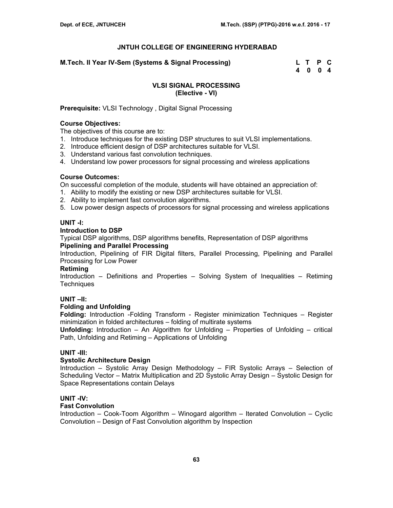**M.Tech. II Year IV-Sem (Systems & Signal Processing) Letting Linux Control Control Control Control Control Control Control Control Control Control Control Control Control Control Control Control Control Control Control Co** 

 **4 0 0 4** 

## **VLSI SIGNAL PROCESSING (Elective - VI)**

**Prerequisite:** VLSI Technology , Digital Signal Processing

### **Course Objectives:**

The objectives of this course are to:

- 1. Introduce techniques for the existing DSP structures to suit VLSI implementations.
- 2. Introduce efficient design of DSP architectures suitable for VLSI.
- 3. Understand various fast convolution techniques.
- 4. Understand low power processors for signal processing and wireless applications

## **Course Outcomes:**

On successful completion of the module, students will have obtained an appreciation of:

- 1. Ability to modify the existing or new DSP architectures suitable for VLSI.
- 2. Ability to implement fast convolution algorithms.
- 5. Low power design aspects of processors for signal processing and wireless applications

# **UNIT -I:**

## **Introduction to DSP**

Typical DSP algorithms, DSP algorithms benefits, Representation of DSP algorithms **Pipelining and Parallel Processing** 

Introduction, Pipelining of FIR Digital filters, Parallel Processing, Pipelining and Parallel Processing for Low Power

#### **Retiming**

Introduction – Definitions and Properties – Solving System of Inequalities – Retiming **Techniques** 

# **UNIT –II:**

#### **Folding and Unfolding**

**Folding:** Introduction -Folding Transform - Register minimization Techniques – Register minimization in folded architectures – folding of multirate systems

**Unfolding:** Introduction – An Algorithm for Unfolding – Properties of Unfolding – critical Path, Unfolding and Retiming – Applications of Unfolding

# **UNIT -III:**

# **Systolic Architecture Design**

Introduction – Systolic Array Design Methodology – FIR Systolic Arrays – Selection of Scheduling Vector – Matrix Multiplication and 2D Systolic Array Design – Systolic Design for Space Representations contain Delays

# **UNIT -IV:**

#### **Fast Convolution**

Introduction – Cook-Toom Algorithm – Winogard algorithm – Iterated Convolution – Cyclic Convolution – Design of Fast Convolution algorithm by Inspection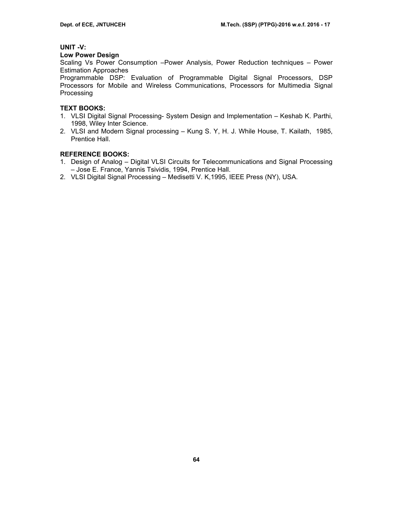## **UNIT -V:**

## **Low Power Design**

Scaling Vs Power Consumption –Power Analysis, Power Reduction techniques – Power Estimation Approaches

Programmable DSP: Evaluation of Programmable Digital Signal Processors, DSP Processors for Mobile and Wireless Communications, Processors for Multimedia Signal **Processing** 

## **TEXT BOOKS:**

- 1. VLSI Digital Signal Processing- System Design and Implementation Keshab K. Parthi, 1998, Wiley Inter Science.
- 2. VLSI and Modern Signal processing Kung S. Y, H. J. While House, T. Kailath, 1985, Prentice Hall.

- 1. Design of Analog Digital VLSI Circuits for Telecommunications and Signal Processing – Jose E. France, Yannis Tsividis, 1994, Prentice Hall.
- 2. VLSI Digital Signal Processing Medisetti V. K,1995, IEEE Press (NY), USA.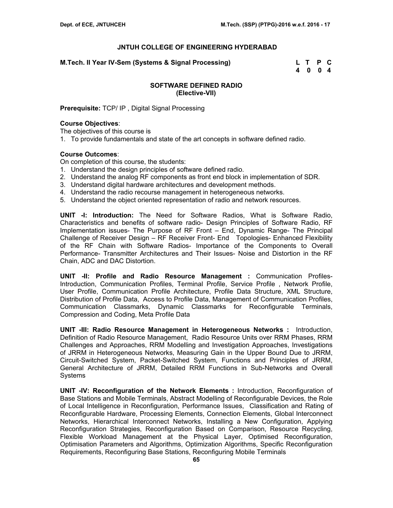**M.Tech. II Year IV-Sem (Systems & Signal Processing) L T P C** 

 **4 0 0 4** 

## **SOFTWARE DEFINED RADIO (Elective-VII)**

**Prerequisite:** TCP/ IP , Digital Signal Processing

#### **Course Objectives**:

The objectives of this course is

1. To provide fundamentals and state of the art concepts in software defined radio.

## **Course Outcomes**:

On completion of this course, the students:

- 1. Understand the design principles of software defined radio.
- 2. Understand the analog RF components as front end block in implementation of SDR.
- 3. Understand digital hardware architectures and development methods.
- 4. Understand the radio recourse management in heterogeneous networks.
- 5. Understand the object oriented representation of radio and network resources.

**UNIT -I: Introduction:** The Need for Software Radios, What is Software Radio, Characteristics and benefits of software radio- Design Principles of Software Radio, RF Implementation issues- The Purpose of RF Front – End, Dynamic Range- The Principal Challenge of Receiver Design – RF Receiver Front- End Topologies- Enhanced Flexibility of the RF Chain with Software Radios- Importance of the Components to Overall Performance- Transmitter Architectures and Their Issues- Noise and Distortion in the RF Chain, ADC and DAC Distortion.

**UNIT -II: Profile and Radio Resource Management :** Communication Profiles-Introduction, Communication Profiles, Terminal Profile, Service Profile , Network Profile, User Profile, Communication Profile Architecture, Profile Data Structure, XML Structure, Distribution of Profile Data, Access to Profile Data, Management of Communication Profiles, Communication Classmarks, Dynamic Classmarks for Reconfigurable Terminals, Compression and Coding, Meta Profile Data

**UNIT -III: Radio Resource Management in Heterogeneous Networks :** Introduction, Definition of Radio Resource Management, Radio Resource Units over RRM Phases, RRM Challenges and Approaches, RRM Modelling and Investigation Approaches, Investigations of JRRM in Heterogeneous Networks, Measuring Gain in the Upper Bound Due to JRRM, Circuit-Switched System, Packet-Switched System, Functions and Principles of JRRM, General Architecture of JRRM, Detailed RRM Functions in Sub-Networks and Overall Systems

**UNIT -IV: Reconfiguration of the Network Elements :** Introduction, Reconfiguration of Base Stations and Mobile Terminals, Abstract Modelling of Reconfigurable Devices, the Role of Local Intelligence in Reconfiguration, Performance Issues, Classification and Rating of Reconfigurable Hardware, Processing Elements, Connection Elements, Global Interconnect Networks, Hierarchical Interconnect Networks, Installing a New Configuration, Applying Reconfiguration Strategies, Reconfiguration Based on Comparison, Resource Recycling, Flexible Workload Management at the Physical Layer, Optimised Reconfiguration, Optimisation Parameters and Algorithms, Optimization Algorithms, Specific Reconfiguration Requirements, Reconfiguring Base Stations, Reconfiguring Mobile Terminals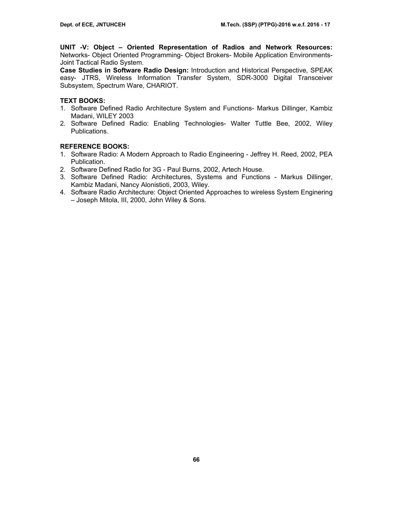**UNIT -V: Object – Oriented Representation of Radios and Network Resources:** Networks- Object Oriented Programming- Object Brokers- Mobile Application Environments-Joint Tactical Radio System.

**Case Studies in Software Radio Design:** Introduction and Historical Perspective, SPEAK easy- JTRS, Wireless Information Transfer System, SDR-3000 Digital Transceiver Subsystem, Spectrum Ware, CHARIOT.

# **TEXT BOOKS:**

- 1. Software Defined Radio Architecture System and Functions- Markus Dillinger, Kambiz Madani, WILEY 2003
- 2. Software Defined Radio: Enabling Technologies- Walter Tuttle Bee, 2002, Wiley Publications.

- 1. Software Radio: A Modern Approach to Radio Engineering Jeffrey H. Reed, 2002, PEA Publication.
- 2. Software Defined Radio for 3G Paul Burns, 2002, Artech House.
- 3. Software Defined Radio: Architectures, Systems and Functions Markus Dillinger, Kambiz Madani, Nancy Alonistioti, 2003, Wiley.
- 4. Software Radio Architecture: Object Oriented Approaches to wireless System Enginering – Joseph Mitola, III, 2000, John Wiley & Sons.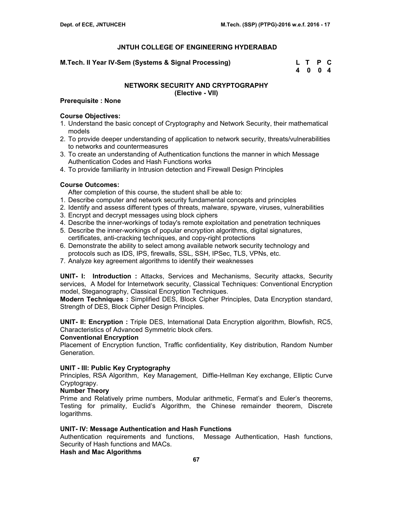## **M.Tech. II Year IV-Sem (Systems & Signal Processing)**

| M.Tech. II Year IV-Sem (Systems & Signal Processing) | L T P C |  |
|------------------------------------------------------|---------|--|
|                                                      | 4 0 0 4 |  |

# **NETWORK SECURITY AND CRYPTOGRAPHY (Elective - VII)**

### **Prerequisite : None**

## **Course Objectives:**

- 1. Understand the basic concept of Cryptography and Network Security, their mathematical models
- 2. To provide deeper understanding of application to network security, threats/vulnerabilities to networks and countermeasures
- 3. To create an understanding of Authentication functions the manner in which Message Authentication Codes and Hash Functions works
- 4. To provide familiarity in Intrusion detection and Firewall Design Principles

# **Course Outcomes:**

After completion of this course, the student shall be able to:

- 1. Describe computer and network security fundamental concepts and principles
- 2. Identify and assess different types of threats, malware, spyware, viruses, vulnerabilities
- 3. Encrypt and decrypt messages using block ciphers
- 4. Describe the inner-workings of today's remote exploitation and penetration techniques
- 5. Describe the inner-workings of popular encryption algorithms, digital signatures, certificates, anti-cracking techniques, and copy-right protections
- 6. Demonstrate the ability to select among available network security technology and protocols such as IDS, IPS, firewalls, SSL, SSH, IPSec, TLS, VPNs, etc.
- 7. Analyze key agreement algorithms to identify their weaknesses

**UNIT- I: Introduction :** Attacks, Services and Mechanisms, Security attacks, Security services, A Model for Internetwork security, Classical Techniques: Conventional Encryption model, Steganography, Classical Encryption Techniques.

**Modern Techniques :** Simplified DES, Block Cipher Principles, Data Encryption standard, Strength of DES, Block Cipher Design Principles.

**UNIT- II: Encryption :** Triple DES, International Data Encryption algorithm, Blowfish, RC5, Characteristics of Advanced Symmetric block cifers.

#### **Conventional Encryption**

Placement of Encryption function, Traffic confidentiality, Key distribution, Random Number Generation.

# **UNIT - III: Public Key Cryptography**

Principles, RSA Algorithm, Key Management, Diffie-Hellman Key exchange, Elliptic Curve Cryptograpy.

#### **Number Theory**

Prime and Relatively prime numbers, Modular arithmetic, Fermat's and Euler's theorems, Testing for primality, Euclid's Algorithm, the Chinese remainder theorem, Discrete logarithms.

#### **UNIT- IV: Message Authentication and Hash Functions**

Authentication requirements and functions, Message Authentication, Hash functions, Security of Hash functions and MACs.

# **Hash and Mac Algorithms**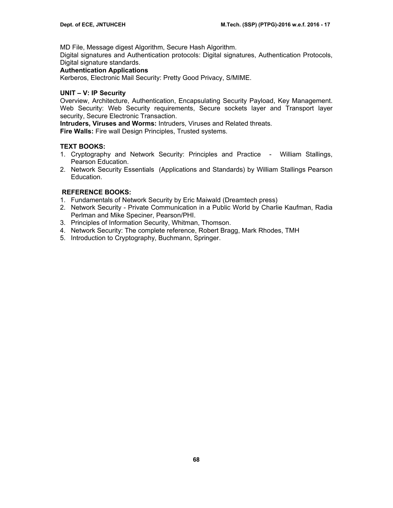MD File, Message digest Algorithm, Secure Hash Algorithm.

Digital signatures and Authentication protocols: Digital signatures, Authentication Protocols, Digital signature standards.

# **Authentication Applications**

Kerberos, Electronic Mail Security: Pretty Good Privacy, S/MIME.

## **UNIT – V: IP Security**

Overview, Architecture, Authentication, Encapsulating Security Payload, Key Management. Web Security: Web Security requirements, Secure sockets layer and Transport layer security, Secure Electronic Transaction.

**Intruders, Viruses and Worms:** Intruders, Viruses and Related threats.

**Fire Walls:** Fire wall Design Principles, Trusted systems.

## **TEXT BOOKS:**

- 1. Cryptography and Network Security: Principles and Practice William Stallings, Pearson Education.
- 2. Network Security Essentials (Applications and Standards) by William Stallings Pearson Education.

- 1. Fundamentals of Network Security by Eric Maiwald (Dreamtech press)
- 2. Network Security Private Communication in a Public World by Charlie Kaufman, Radia Perlman and Mike Speciner, Pearson/PHI.
- 3. Principles of Information Security, Whitman, Thomson.
- 4. Network Security: The complete reference, Robert Bragg, Mark Rhodes, TMH
- 5. Introduction to Cryptography, Buchmann, Springer.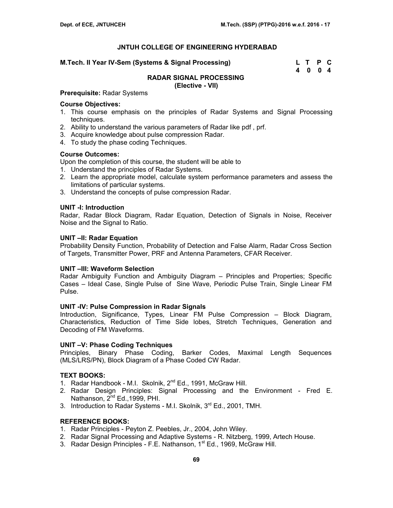#### **M.Tech. II Year IV-Sem (Systems & Signal Processing) Letting Linux Control Control Control Control Control Control Control Control Control Control Control Control Control Control Control Control Control Control Control Co**

 **4 0 0 4** 

### **RADAR SIGNAL PROCESSING**

**(Elective - VII)** 

# **Prerequisite:** Radar Systems

#### **Course Objectives:**

- 1. This course emphasis on the principles of Radar Systems and Signal Processing techniques.
- 2. Ability to understand the various parameters of Radar like pdf , prf.
- 3. Acquire knowledge about pulse compression Radar.
- 4. To study the phase coding Techniques.

#### **Course Outcomes:**

Upon the completion of this course, the student will be able to

- 1. Understand the principles of Radar Systems.
- 2. Learn the appropriate model, calculate system performance parameters and assess the limitations of particular systems.
- 3. Understand the concepts of pulse compression Radar.

#### **UNIT -I: Introduction**

Radar, Radar Block Diagram, Radar Equation, Detection of Signals in Noise, Receiver Noise and the Signal to Ratio.

#### **UNIT –II: Radar Equation**

Probability Density Function, Probability of Detection and False Alarm, Radar Cross Section of Targets, Transmitter Power, PRF and Antenna Parameters, CFAR Receiver.

#### **UNIT –III: Waveform Selection**

Radar Ambiguity Function and Ambiguity Diagram – Principles and Properties; Specific Cases – Ideal Case, Single Pulse of Sine Wave, Periodic Pulse Train, Single Linear FM Pulse.

#### **UNIT -IV: Pulse Compression in Radar Signals**

Introduction, Significance, Types, Linear FM Pulse Compression – Block Diagram, Characteristics, Reduction of Time Side lobes, Stretch Techniques, Generation and Decoding of FM Waveforms.

#### **UNIT –V: Phase Coding Techniques**

Principles, Binary Phase Coding, Barker Codes, Maximal Length Sequences (MLS/LRS/PN), Block Diagram of a Phase Coded CW Radar.

#### **TEXT BOOKS:**

- 1. Radar Handbook M.I. Skolnik, 2<sup>nd</sup> Ed., 1991, McGraw Hill.
- 2. Radar Design Principles: Signal Processing and the Environment Fred E. Nathanson, 2<sup>nd</sup> Ed., 1999, PHI.
- 3. Introduction to Radar Systems M.I. Skolnik, 3<sup>rd</sup> Ed., 2001, TMH.

- 1. Radar Principles Peyton Z. Peebles, Jr., 2004, John Wiley.
- 2. Radar Signal Processing and Adaptive Systems R. Nitzberg, 1999, Artech House.
- 3. Radar Design Principles F.E. Nathanson, 1<sup>st</sup> Ed., 1969, McGraw Hill.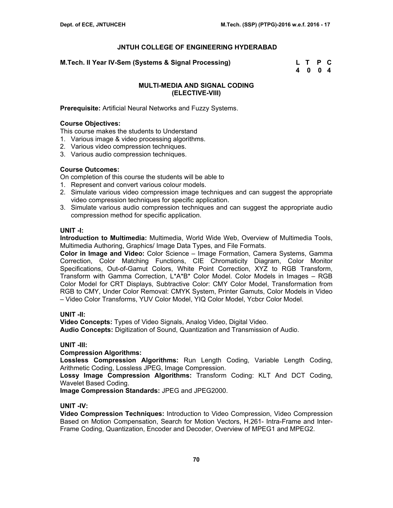**M.Tech. II Year IV-Sem (Systems & Signal Processing) L T P C** 

 **4 0 0 4** 

## **MULTI-MEDIA AND SIGNAL CODING (ELECTIVE-VIII)**

**Prerequisite:** Artificial Neural Networks and Fuzzy Systems.

## **Course Objectives:**

This course makes the students to Understand

- 1. Various image & video processing algorithms.
- 2. Various video compression techniques.
- 3. Various audio compression techniques.

## **Course Outcomes:**

On completion of this course the students will be able to

- 1. Represent and convert various colour models.
- 2. Simulate various video compression image techniques and can suggest the appropriate video compression techniques for specific application.
- 3. Simulate various audio compression techniques and can suggest the appropriate audio compression method for specific application.

## **UNIT -I:**

**Introduction to Multimedia:** Multimedia, World Wide Web, Overview of Multimedia Tools, Multimedia Authoring, Graphics/ Image Data Types, and File Formats.

**Color in Image and Video:** Color Science – Image Formation, Camera Systems, Gamma Correction, Color Matching Functions, CIE Chromaticity Diagram, Color Monitor Specifications, Out-of-Gamut Colors, White Point Correction, XYZ to RGB Transform, Transform with Gamma Correction, L\*A\*B\* Color Model. Color Models in Images – RGB Color Model for CRT Displays, Subtractive Color: CMY Color Model, Transformation from RGB to CMY, Under Color Removal: CMYK System, Printer Gamuts, Color Models in Video – Video Color Transforms, YUV Color Model, YIQ Color Model, Ycbcr Color Model.

# **UNIT -II:**

**Video Concepts:** Types of Video Signals, Analog Video, Digital Video.

**Audio Concepts:** Digitization of Sound, Quantization and Transmission of Audio.

#### **UNIT -III:**

#### **Compression Algorithms:**

**Lossless Compression Algorithms:** Run Length Coding, Variable Length Coding, Arithmetic Coding, Lossless JPEG, Image Compression.

**Lossy Image Compression Algorithms:** Transform Coding: KLT And DCT Coding, Wavelet Based Coding.

**Image Compression Standards:** JPEG and JPEG2000.

#### **UNIT -IV:**

**Video Compression Techniques:** Introduction to Video Compression, Video Compression Based on Motion Compensation, Search for Motion Vectors, H.261- Intra-Frame and Inter-Frame Coding, Quantization, Encoder and Decoder, Overview of MPEG1 and MPEG2.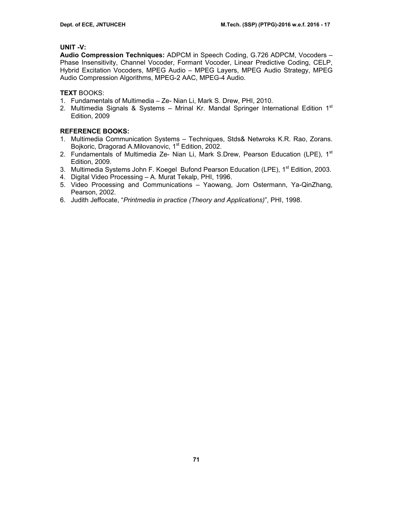## **UNIT -V:**

**Audio Compression Techniques:** ADPCM in Speech Coding, G.726 ADPCM, Vocoders – Phase Insensitivity, Channel Vocoder, Formant Vocoder, Linear Predictive Coding, CELP, Hybrid Excitation Vocoders, MPEG Audio – MPEG Layers, MPEG Audio Strategy, MPEG Audio Compression Algorithms, MPEG-2 AAC, MPEG-4 Audio.

## **TEXT** BOOKS:

- 1. Fundamentals of Multimedia Ze- Nian Li, Mark S. Drew, PHI, 2010.
- 2. Multimedia Signals & Systems Mrinal Kr. Mandal Springer International Edition  $1<sup>st</sup>$ Edition, 2009

- 1. Multimedia Communication Systems Techniques, Stds& Netwroks K.R. Rao, Zorans. Bojkoric, Dragorad A.Milovanovic, 1<sup>st</sup> Edition, 2002.
- 2. Fundamentals of Multimedia Ze- Nian Li, Mark S.Drew, Pearson Education (LPE), 1<sup>st</sup> Edition, 2009.
- 3. Multimedia Systems John F. Koegel Bufond Pearson Education (LPE), 1<sup>st</sup> Edition, 2003.
- 4. Digital Video Processing A. Murat Tekalp, PHI, 1996.
- 5. Video Processing and Communications Yaowang, Jorn Ostermann, Ya-QinZhang, Pearson, 2002.
- 6. Judith Jeffocate, "*Printmedia in practice (Theory and Applications)*", PHI, 1998.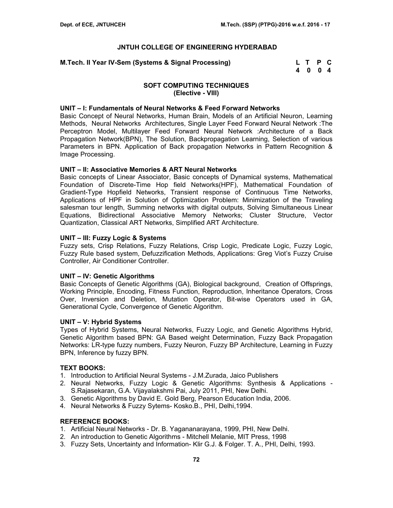#### **JNTUH COLLEGE OF ENGINEERING HYDERABAD**

| M.Tech. II Year IV-Sem (Systems & Signal Processing) | L T P C |  |
|------------------------------------------------------|---------|--|
|                                                      | 4 0 0 4 |  |

### **SOFT COMPUTING TECHNIQUES (Elective - VIII)**

#### **UNIT – I: Fundamentals of Neural Networks & Feed Forward Networks**

Basic Concept of Neural Networks, Human Brain, Models of an Artificial Neuron, Learning Methods, Neural Networks Architectures, Single Layer Feed Forward Neural Network :The Perceptron Model, Multilayer Feed Forward Neural Network :Architecture of a Back Propagation Network(BPN), The Solution, Backpropagation Learning, Selection of various Parameters in BPN. Application of Back propagation Networks in Pattern Recognition & Image Processing.

#### **UNIT – II: Associative Memories & ART Neural Networks**

Basic concepts of Linear Associator, Basic concepts of Dynamical systems, Mathematical Foundation of Discrete-Time Hop field Networks(HPF), Mathematical Foundation of Gradient-Type Hopfield Networks, Transient response of Continuous Time Networks, Applications of HPF in Solution of Optimization Problem: Minimization of the Traveling salesman tour length, Summing networks with digital outputs, Solving Simultaneous Linear Equations, Bidirectional Associative Memory Networks; Cluster Structure, Vector Quantization, Classical ART Networks, Simplified ART Architecture.

#### **UNIT – III: Fuzzy Logic & Systems**

Fuzzy sets, Crisp Relations, Fuzzy Relations, Crisp Logic, Predicate Logic, Fuzzy Logic, Fuzzy Rule based system, Defuzzification Methods, Applications: Greg Viot's Fuzzy Cruise Controller, Air Conditioner Controller.

#### **UNIT – IV: Genetic Algorithms**

Basic Concepts of Genetic Algorithms (GA), Biological background, Creation of Offsprings, Working Principle, Encoding, Fitness Function, Reproduction, Inheritance Operators, Cross Over, Inversion and Deletion, Mutation Operator, Bit-wise Operators used in GA, Generational Cycle, Convergence of Genetic Algorithm.

#### **UNIT – V: Hybrid Systems**

Types of Hybrid Systems, Neural Networks, Fuzzy Logic, and Genetic Algorithms Hybrid, Genetic Algorithm based BPN: GA Based weight Determination, Fuzzy Back Propagation Networks: LR-type fuzzy numbers, Fuzzy Neuron, Fuzzy BP Architecture, Learning in Fuzzy BPN, Inference by fuzzy BPN.

#### **TEXT BOOKS:**

- 1. Introduction to Artificial Neural Systems J.M.Zurada, Jaico Publishers
- 2. Neural Networks, Fuzzy Logic & Genetic Algorithms: Synthesis & Applications S.Rajasekaran, G.A. Vijayalakshmi Pai, July 2011, PHI, New Delhi.
- 3. Genetic Algorithms by David E. Gold Berg, Pearson Education India, 2006.
- 4. Neural Networks & Fuzzy Sytems- Kosko.B., PHI, Delhi,1994.

#### **REFERENCE BOOKS:**

- 1. Artificial Neural Networks Dr. B. Yagananarayana, 1999, PHI, New Delhi.
- 2. An introduction to Genetic Algorithms Mitchell Melanie, MIT Press, 1998
- 3. Fuzzy Sets, Uncertainty and Information- Klir G.J. & Folger. T. A., PHI, Delhi, 1993.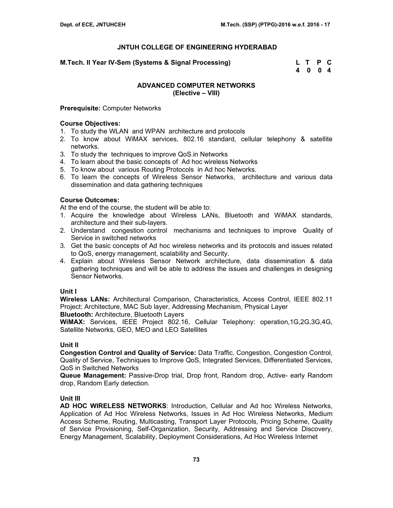# **JNTUH COLLEGE OF ENGINEERING HYDERABAD**

**M.Tech. II Year IV-Sem (Systems & Signal Processing) L T P C** 

 **4 0 0 4** 

# **ADVANCED COMPUTER NETWORKS (Elective – VIII)**

#### **Prerequisite:** Computer Networks

### **Course Objectives:**

- 1. To study the WLAN and WPAN architecture and protocols
- 2. To know about WiMAX services, 802.16 standard, cellular telephony & satellite networks.
- 3. To study the techniques to improve QoS.in Networks
- 4. To learn about the basic concepts of Ad hoc wireless Networks
- 5. To know about various Routing Protocols in Ad hoc Networks.
- 6. To learn the concepts of Wireless Sensor Networks, architecture and various data dissemination and data gathering techniques

# **Course Outcomes:**

At the end of the course, the student will be able to:

- 1. Acquire the knowledge about Wireless LANs, Bluetooth and WiMAX standards, architecture and their sub-layers.
- 2. Understand congestion control mechanisms and techniques to improve Quality of Service in switched networks
- 3. Get the basic concepts of Ad hoc wireless networks and its protocols and issues related to QoS, energy management, scalability and Security.
- 4. Explain about Wireless Sensor Network architecture, data dissemination & data gathering techniques and will be able to address the issues and challenges in designing Sensor Networks.

#### **Unit I**

**Wireless LANs:** Architectural Comparison, Characteristics, Access Control, IEEE 802.11 Project: Architecture, MAC Sub layer, Addressing Mechanism, Physical Layer **Bluetooth:** Architecture, Bluetooth Layers

**WiMAX:** Services, IEEE Project 802.16, Cellular Telephony: operation,1G,2G,3G,4G, Satellite Networks, GEO, MEO and LEO Satellites

#### **Unit II**

**Congestion Control and Quality of Service:** Data Traffic, Congestion, Congestion Control, Quality of Service, Techniques to Improve QoS, Integrated Services, Differentiated Services, QoS in Switched Networks

**Queue Management:** Passive-Drop trial, Drop front, Random drop, Active- early Random drop, Random Early detection.

# **Unit III**

**AD HOC WIRELESS NETWORKS**: Introduction, Cellular and Ad hoc Wireless Networks, Application of Ad Hoc Wireless Networks, Issues in Ad Hoc Wireless Networks, Medium Access Scheme, Routing, Multicasting, Transport Layer Protocols, Pricing Scheme, Quality of Service Provisioning, Self-Organization, Security, Addressing and Service Discovery, Energy Management, Scalability, Deployment Considerations, Ad Hoc Wireless Internet